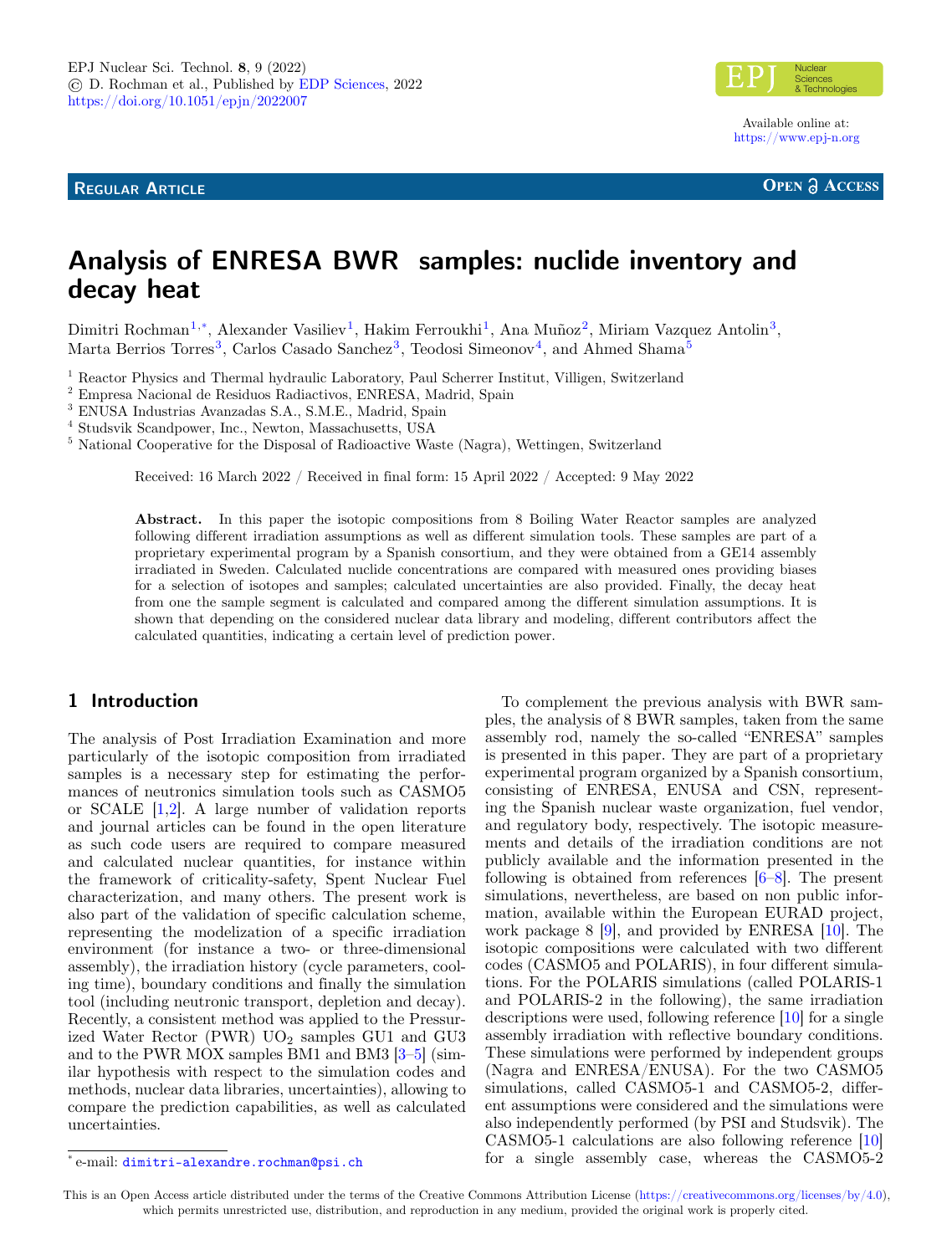**REGULAR ARTICLE**



Available online at: <https://www.epj-n.org>

**OPEN A ACCESS** 

# **Analysis of ENRESA BWR samples: nuclide inventory and decay heat**

Dimitri Rochman<sup>[1](#page-0-0),\*</sup>, Alexander Vasiliev<sup>1</sup>, Hakim Ferroukhi<sup>1</sup>, Ana Muñoz<sup>[2](#page-0-1)</sup>, Miriam Vazquez Antolin<sup>[3](#page-0-2)</sup>, Marta Berrios Torres<sup>[3](#page-0-2)</sup>, Carlos Casado Sanchez<sup>3</sup>, Teodosi Simeonov<sup>[4](#page-0-3)</sup>, and Ahmed Shama<sup>[5](#page-0-4)</sup>

<span id="page-0-0"></span><sup>1</sup> Reactor Physics and Thermal hydraulic Laboratory, Paul Scherrer Institut, Villigen, Switzerland

<span id="page-0-1"></span><sup>2</sup> Empresa Nacional de Residuos Radiactivos, ENRESA, Madrid, Spain

<span id="page-0-2"></span><sup>3</sup> ENUSA Industrias Avanzadas S.A., S.M.E., Madrid, Spain

<span id="page-0-3"></span>4 Studsvik Scandpower, Inc., Newton, Massachusetts, USA

<span id="page-0-4"></span><sup>5</sup> National Cooperative for the Disposal of Radioactive Waste (Nagra), Wettingen, Switzerland

Received: 16 March 2022 / Received in final form: 15 April 2022 / Accepted: 9 May 2022

**Abstract.** In this paper the isotopic compositions from 8 Boiling Water Reactor samples are analyzed following different irradiation assumptions as well as different simulation tools. These samples are part of a proprietary experimental program by a Spanish consortium, and they were obtained from a GE14 assembly irradiated in Sweden. Calculated nuclide concentrations are compared with measured ones providing biases for a selection of isotopes and samples; calculated uncertainties are also provided. Finally, the decay heat from one the sample segment is calculated and compared among the different simulation assumptions. It is shown that depending on the considered nuclear data library and modeling, different contributors affect the calculated quantities, indicating a certain level of prediction power.

# **1 Introduction**

The analysis of Post Irradiation Examination and more particularly of the isotopic composition from irradiated samples is a necessary step for estimating the performances of neutronics simulation tools such as CASMO5 or SCALE [\[1,](#page-14-0)[2\]](#page-14-1). A large number of validation reports and journal articles can be found in the open literature as such code users are required to compare measured and calculated nuclear quantities, for instance within the framework of criticality-safety, Spent Nuclear Fuel characterization, and many others. The present work is also part of the validation of specific calculation scheme, representing the modelization of a specific irradiation environment (for instance a two- or three-dimensional assembly), the irradiation history (cycle parameters, cooling time), boundary conditions and finally the simulation tool (including neutronic transport, depletion and decay). Recently, a consistent method was applied to the Pressurized Water Rector (PWR)  $UO<sub>2</sub>$  samples GU1 and GU3 and to the PWR MOX samples BM1 and BM3 [\[3](#page-14-2)[–5\]](#page-14-3) (similar hypothesis with respect to the simulation codes and methods, nuclear data libraries, uncertainties), allowing to compare the prediction capabilities, as well as calculated uncertainties.

To complement the previous analysis with BWR samples, the analysis of 8 BWR samples, taken from the same assembly rod, namely the so-called "ENRESA" samples is presented in this paper. They are part of a proprietary experimental program organized by a Spanish consortium, consisting of ENRESA, ENUSA and CSN, representing the Spanish nuclear waste organization, fuel vendor, and regulatory body, respectively. The isotopic measurements and details of the irradiation conditions are not publicly available and the information presented in the following is obtained from references [\[6–](#page-14-4)[8\]](#page-14-5). The present simulations, nevertheless, are based on non public information, available within the European EURAD project, work package 8 [\[9\]](#page-14-6), and provided by ENRESA [\[10\]](#page-14-7). The isotopic compositions were calculated with two different codes (CASMO5 and POLARIS), in four different simulations. For the POLARIS simulations (called POLARIS-1 and POLARIS-2 in the following), the same irradiation descriptions were used, following reference [\[10\]](#page-14-7) for a single assembly irradiation with reflective boundary conditions. These simulations were performed by independent groups (Nagra and ENRESA/ENUSA). For the two CASMO5 simulations, called CASMO5-1 and CASMO5-2, different assumptions were considered and the simulations were also independently performed (by PSI and Studsvik). The CASMO5-1 calculations are also following reference [\[10\]](#page-14-7) for a single assembly case, whereas the CASMO5-2

This is an Open Access article distributed under the terms of the Creative Commons Attribution License [\(https://creativecommons.org/licenses/by/4.0\)](https://creativecommons.org/licenses/by/4.0), which permits unrestricted use, distribution, and reproduction in any medium, provided the original work is properly cited.

<sup>\*</sup> e-mail: [dimitri-alexandre.rochman@psi.ch](mailto:dimitri-alexandre.rochman@psi.ch)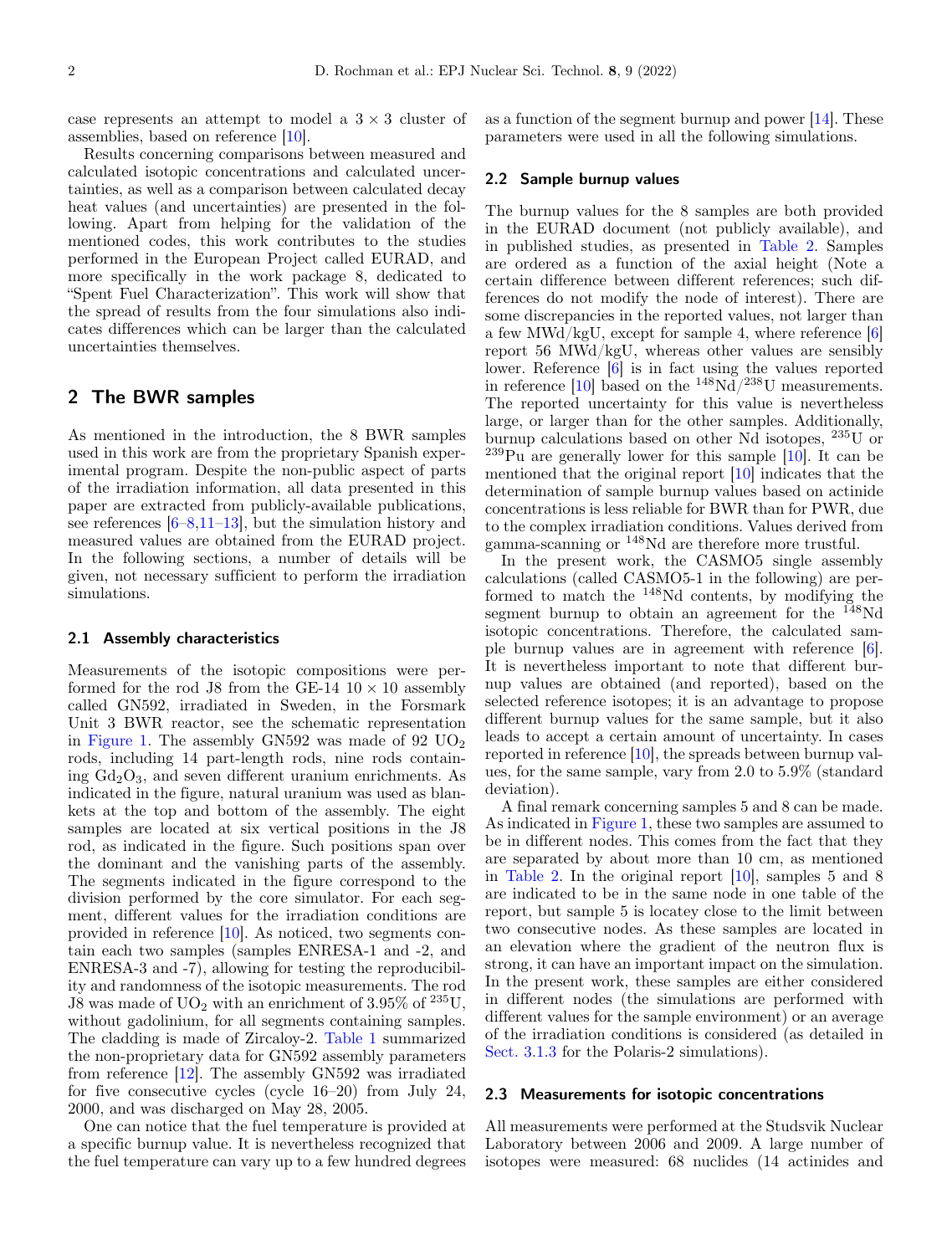case represents an attempt to model a  $3 \times 3$  cluster of assemblies, based on reference [\[10\]](#page-14-7).

Results concerning comparisons between measured and calculated isotopic concentrations and calculated uncertainties, as well as a comparison between calculated decay heat values (and uncertainties) are presented in the following. Apart from helping for the validation of the mentioned codes, this work contributes to the studies performed in the European Project called EURAD, and more specifically in the work package 8, dedicated to "Spent Fuel Characterization". This work will show that the spread of results from the four simulations also indicates differences which can be larger than the calculated uncertainties themselves.

## **2 The BWR samples**

As mentioned in the introduction, the 8 BWR samples used in this work are from the proprietary Spanish experimental program. Despite the non-public aspect of parts of the irradiation information, all data presented in this paper are extracted from publicly-available publications, see references  $[6-8, 11-13]$  $[6-8, 11-13]$  $[6-8, 11-13]$  $[6-8, 11-13]$ , but the simulation history and measured values are obtained from the EURAD project. In the following sections, a number of details will be given, not necessary sufficient to perform the irradiation simulations.

### **2.1 Assembly characteristics**

Measurements of the isotopic compositions were performed for the rod J8 from the GE-14  $10 \times 10$  assembly called GN592, irradiated in Sweden, in the Forsmark Unit 3 BWR reactor, see the schematic representation in [Figure 1.](#page-2-0) The assembly  $GN592$  was made of 92  $UO<sub>2</sub>$ rods, including 14 part-length rods, nine rods containing  $Gd_2O_3$ , and seven different uranium enrichments. As indicated in the figure, natural uranium was used as blankets at the top and bottom of the assembly. The eight samples are located at six vertical positions in the J8 rod, as indicated in the figure. Such positions span over the dominant and the vanishing parts of the assembly. The segments indicated in the figure correspond to the division performed by the core simulator. For each segment, different values for the irradiation conditions are provided in reference [\[10\]](#page-14-7). As noticed, two segments contain each two samples (samples ENRESA-1 and -2, and ENRESA-3 and -7), allowing for testing the reproducibility and randomness of the isotopic measurements. The rod J8 was made of  $UO<sub>2</sub>$  with an enrichment of 3.95% of  $235$ U, without gadolinium, for all segments containing samples. The cladding is made of Zircaloy-2. [Table 1](#page-2-1) summarized the non-proprietary data for GN592 assembly parameters from reference [\[12\]](#page-14-10). The assembly GN592 was irradiated for five consecutive cycles (cycle 16–20) from July 24, 2000, and was discharged on May 28, 2005.

One can notice that the fuel temperature is provided at a specific burnup value. It is nevertheless recognized that the fuel temperature can vary up to a few hundred degrees as a function of the segment burnup and power [\[14\]](#page-14-11). These parameters were used in all the following simulations.

### **2.2 Sample burnup values**

The burnup values for the 8 samples are both provided in the EURAD document (not publicly available), and in published studies, as presented in [Table 2.](#page-3-0) Samples are ordered as a function of the axial height (Note a certain difference between different references; such differences do not modify the node of interest). There are some discrepancies in the reported values, not larger than a few MWd/kgU, except for sample 4, where reference  $[6]$ report 56 MWd/kgU, whereas other values are sensibly lower. Reference [\[6\]](#page-14-4) is in fact using the values reported in reference [\[10\]](#page-14-7) based on the  $\mathrm{^{148}Nd/^{238}U}$  measurements. The reported uncertainty for this value is nevertheless large, or larger than for the other samples. Additionally, burnup calculations based on other Nd isotopes, <sup>235</sup>U or  $^{239}$ Pu are generally lower for this sample [\[10\]](#page-14-7). It can be mentioned that the original report [\[10\]](#page-14-7) indicates that the determination of sample burnup values based on actinide concentrations is less reliable for BWR than for PWR, due to the complex irradiation conditions. Values derived from gamma-scanning or <sup>148</sup>Nd are therefore more trustful.

In the present work, the CASMO5 single assembly calculations (called CASMO5-1 in the following) are performed to match the <sup>148</sup>Nd contents, by modifying the segment burnup to obtain an agreement for the  $^{148}$ Nd isotopic concentrations. Therefore, the calculated sample burnup values are in agreement with reference [\[6\]](#page-14-4). It is nevertheless important to note that different burnup values are obtained (and reported), based on the selected reference isotopes; it is an advantage to propose different burnup values for the same sample, but it also leads to accept a certain amount of uncertainty. In cases reported in reference [\[10\]](#page-14-7), the spreads between burnup values, for the same sample, vary from 2.0 to 5.9% (standard deviation).

A final remark concerning samples 5 and 8 can be made. As indicated in [Figure 1,](#page-2-0) these two samples are assumed to be in different nodes. This comes from the fact that they are separated by about more than 10 cm, as mentioned in [Table 2.](#page-3-0) In the original report [\[10\]](#page-14-7), samples 5 and 8 are indicated to be in the same node in one table of the report, but sample 5 is locatey close to the limit between two consecutive nodes. As these samples are located in an elevation where the gradient of the neutron flux is strong, it can have an important impact on the simulation. In the present work, these samples are either considered in different nodes (the simulations are performed with different values for the sample environment) or an average of the irradiation conditions is considered (as detailed in Sect. [3.1.3](#page-6-0) for the Polaris-2 simulations).

### **2.3 Measurements for isotopic concentrations**

All measurements were performed at the Studsvik Nuclear Laboratory between 2006 and 2009. A large number of isotopes were measured: 68 nuclides (14 actinides and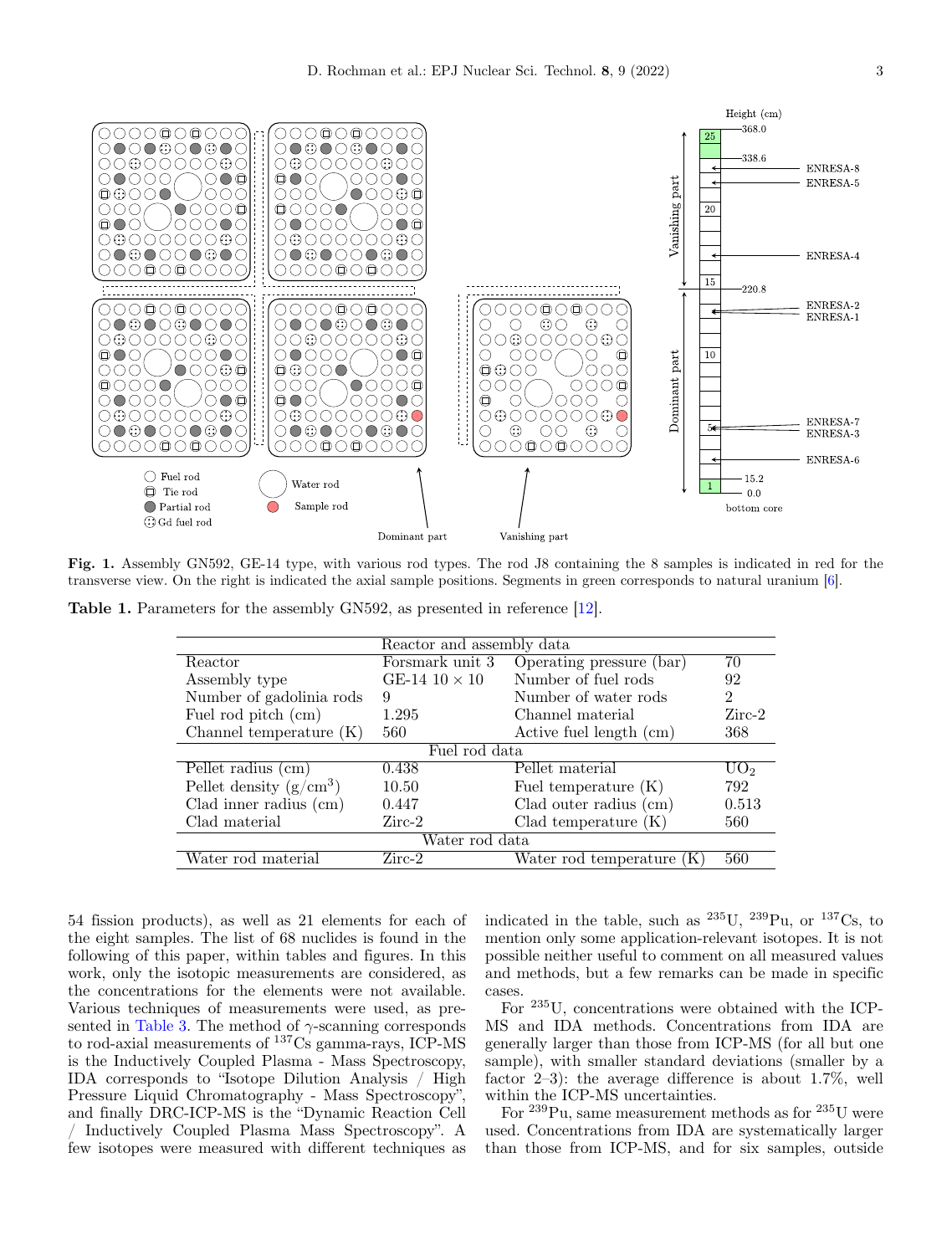

<span id="page-2-0"></span>**Fig. 1.** Assembly GN592, GE-14 type, with various rod types. The rod J8 containing the 8 samples is indicated in red for the transverse view. On the right is indicated the axial sample positions. Segments in green corresponds to natural uranium [\[6\]](#page-14-4).

**Table 1.** Parameters for the assembly GN592, as presented in reference [\[12\]](#page-14-10).

<span id="page-2-1"></span>

|                           | Reactor and assembly data |                           |                 |  |  |  |  |  |
|---------------------------|---------------------------|---------------------------|-----------------|--|--|--|--|--|
| Reactor                   | Forsmark unit 3           | Operating pressure (bar)  | 70              |  |  |  |  |  |
| Assembly type             | GE-14 $10 \times 10$      | Number of fuel rods       | 92              |  |  |  |  |  |
| Number of gadolinia rods  | 9                         | Number of water rods      | $\overline{2}$  |  |  |  |  |  |
| Fuel rod pitch (cm)       | 1.295                     | Channel material          | $Zirc-2$        |  |  |  |  |  |
| Channel temperature $(K)$ | 560                       | Active fuel length (cm)   | 368             |  |  |  |  |  |
|                           | Fuel rod data             |                           |                 |  |  |  |  |  |
| Pellet radius (cm)        | 0.438                     | Pellet material           | UO <sub>2</sub> |  |  |  |  |  |
| Pellet density $(g/cm^3)$ | 10.50                     | Fuel temperature $(K)$    | 792             |  |  |  |  |  |
| Clad inner radius $\pm$   | 0.447                     | Clad outer radius $(cm)$  | 0.513           |  |  |  |  |  |
| Clad material             | $Zirc-2$                  | Clad temperature $(K)$    | 560             |  |  |  |  |  |
|                           | Water rod data            |                           |                 |  |  |  |  |  |
| Water rod material        | $Zirc-2$                  | Water rod temperature (K) | 560             |  |  |  |  |  |

54 fission products), as well as 21 elements for each of the eight samples. The list of 68 nuclides is found in the following of this paper, within tables and figures. In this work, only the isotopic measurements are considered, as the concentrations for the elements were not available. Various techniques of measurements were used, as pre-sented in [Table 3.](#page-4-0) The method of  $\gamma$ -scanning corresponds to rod-axial measurements of <sup>137</sup>Cs gamma-rays, ICP-MS is the Inductively Coupled Plasma - Mass Spectroscopy, IDA corresponds to "Isotope Dilution Analysis / High Pressure Liquid Chromatography - Mass Spectroscopy", and finally DRC-ICP-MS is the "Dynamic Reaction Cell / Inductively Coupled Plasma Mass Spectroscopy". A few isotopes were measured with different techniques as

indicated in the table, such as  $^{235}$ U,  $^{239}$ Pu, or  $^{137}$ Cs, to mention only some application-relevant isotopes. It is not possible neither useful to comment on all measured values and methods, but a few remarks can be made in specific cases.

For <sup>235</sup>U, concentrations were obtained with the ICP-MS and IDA methods. Concentrations from IDA are generally larger than those from ICP-MS (for all but one sample), with smaller standard deviations (smaller by a factor 2–3): the average difference is about 1.7%, well within the ICP-MS uncertainties.

For <sup>239</sup>Pu, same measurement methods as for <sup>235</sup>U were used. Concentrations from IDA are systematically larger than those from ICP-MS, and for six samples, outside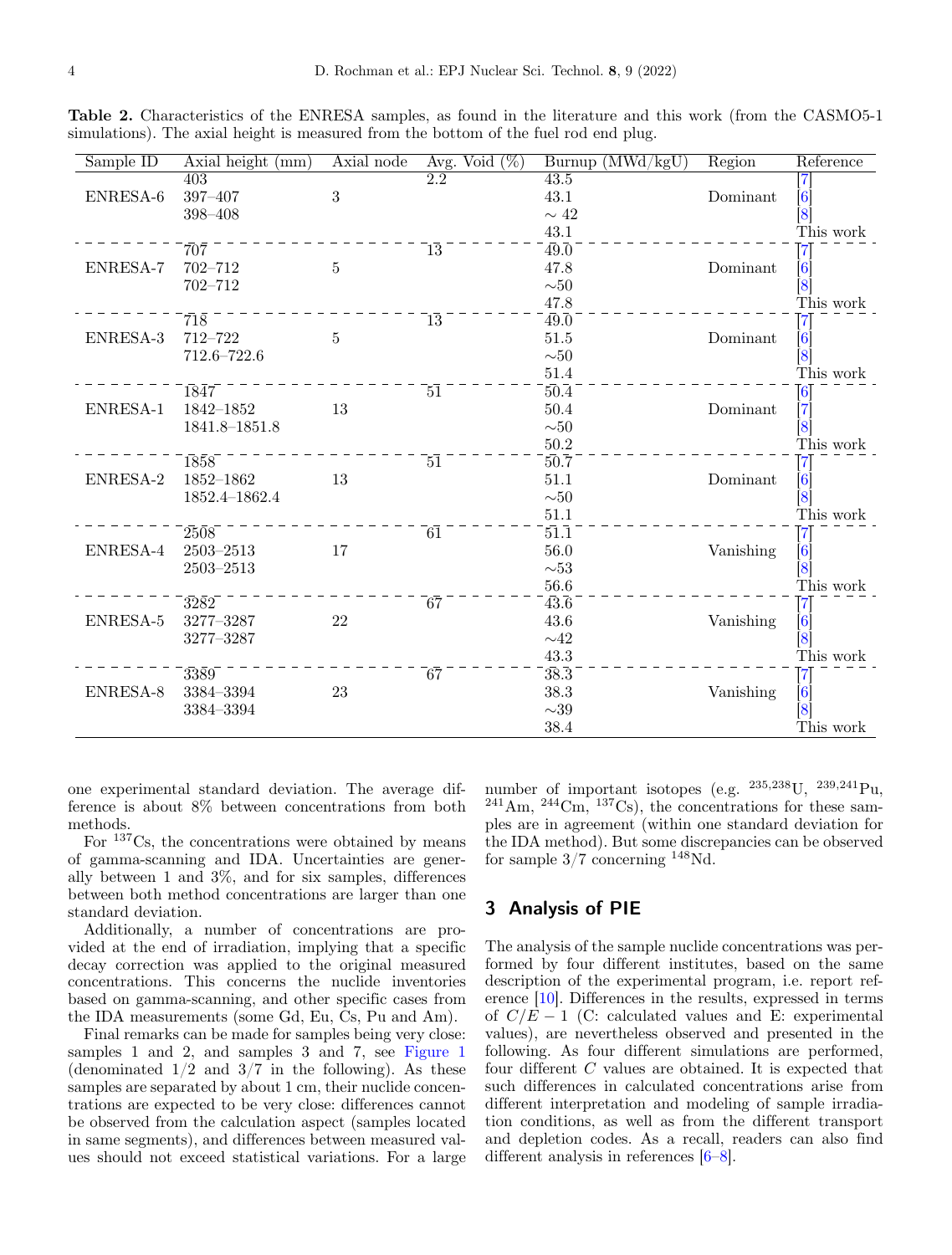<span id="page-3-0"></span>**Table 2.** Characteristics of the ENRESA samples, as found in the literature and this work (from the CASMO5-1 simulations). The axial height is measured from the bottom of the fuel rod end plug.

| Sample ID | Axial height (mm)   | Axial node     | Avg. Void $(\%)$ | $Burnup$ (MWd/kgU) | Region    | Reference                             |
|-----------|---------------------|----------------|------------------|--------------------|-----------|---------------------------------------|
|           | 403                 |                | 2.2              | 43.5               |           | $\vert 7 \vert$                       |
| ENRESA-6  | 397-407             | 3              |                  | 43.1               | Dominant  | $\left[ 6\right]$                     |
|           | $398 - 408$         |                |                  | $\sim 42$          |           | $\left[ 8 \right]$                    |
|           |                     |                |                  | 43.1               |           | This work                             |
|           | $70\overline{7}$    |                | $\bar{1}\bar{3}$ | $\overline{49.0}$  |           | $\overline{7}$                        |
| ENRESA-7  | $702 - 712$         | $\overline{5}$ |                  | 47.8               | Dominant  | [6]                                   |
|           | 702-712             |                |                  | ${\sim}50$         |           | [8]                                   |
|           |                     |                |                  | 47.8               |           | This work                             |
|           | $\bar{7}1\bar{8}$   |                | $\bar{1}\bar{3}$ | $\overline{49.0}$  |           | $\left\lceil 7 \right\rceil$          |
| ENRESA-3  | 712-722             | 5              |                  | 51.5               | Dominant  | [6]                                   |
|           | 712.6-722.6         |                |                  | ${\sim}50$         |           | $\overline{8}$                        |
|           |                     |                |                  | $51.4\,$           |           | This work                             |
|           | 1847                |                | $\overline{51}$  | $50.\overline{4}$  |           |                                       |
| ENRESA-1  | $1842 - 1852$       | 13             |                  | 50.4               | Dominant  | $\begin{bmatrix} 6 \ 7 \end{bmatrix}$ |
|           | $1841.8 - 1851.8$   |                |                  | ${\sim}50$         |           | $\left[ 8 \right]$                    |
|           |                     |                |                  | $50.2\,$           |           | This work                             |
|           | 1858                |                | $\bar{5}\bar{1}$ | $50.7$             |           | $\left\lceil 7 \right\rceil$          |
| ENRESA-2  | $1852 - 1862$       | 13             |                  | $51.1\,$           | Dominant  | [6]                                   |
|           | 1852.4-1862.4       |                |                  | ${\sim}50$         |           | $\left[ 8\right]$                     |
|           |                     |                |                  | $51.1\,$           |           | This work                             |
|           | 2508                |                | $\bar{6}\bar{1}$ | 51.1               |           | $\left\lceil 7\right\rceil$           |
| ENRESA-4  | $2503 - 2513$       | 17             |                  | $56.0\,$           | Vanishing | [6]                                   |
|           | $2503 - 2513$       |                |                  | ${\sim}53$         |           | [8]                                   |
|           |                     |                |                  | $56.6\,$           |           | This work                             |
|           | $3282$ <sup>-</sup> |                | $\bar{6}\bar{7}$ | $43.\overline{6}$  |           | $\left\lceil 7\right\rceil$           |
| ENRESA-5  | 3277-3287           | 22             |                  | $43.6\,$           | Vanishing | [6]                                   |
|           | 3277-3287           |                |                  | ${\sim}42$         |           | $\left[8\right]$                      |
|           |                     |                |                  | $43.3\,$           |           | This work                             |
|           | 3389                |                | 67               | $38.\overline{3}$  |           | $\left[ 7\right]$                     |
| ENRESA-8  | $3384 - 3394$       | 23             |                  | 38.3               | Vanishing | [6]<br>[8]                            |
|           | 3384-3394           |                |                  | ${\sim}39$         |           |                                       |
|           |                     |                |                  | 38.4               |           | This work                             |

one experimental standard deviation. The average difference is about 8% between concentrations from both methods.

For <sup>137</sup>Cs, the concentrations were obtained by means of gamma-scanning and IDA. Uncertainties are generally between 1 and 3%, and for six samples, differences between both method concentrations are larger than one standard deviation.

Additionally, a number of concentrations are provided at the end of irradiation, implying that a specific decay correction was applied to the original measured concentrations. This concerns the nuclide inventories based on gamma-scanning, and other specific cases from the IDA measurements (some Gd, Eu, Cs, Pu and Am).

Final remarks can be made for samples being very close: samples 1 and 2, and samples 3 and 7, see [Figure 1](#page-2-0) (denominated  $1/2$  and  $3/7$  in the following). As these samples are separated by about 1 cm, their nuclide concentrations are expected to be very close: differences cannot be observed from the calculation aspect (samples located in same segments), and differences between measured values should not exceed statistical variations. For a large

number of important isotopes (e.g.  $^{235,238}$ U,  $^{239,241}$ Pu,  $^{241}$ Am,  $^{244}$ Cm,  $^{137}$ Cs), the concentrations for these samples are in agreement (within one standard deviation for the IDA method). But some discrepancies can be observed for sample  $3/7$  concerning  $148$ Nd.

# **3 Analysis of PIE**

The analysis of the sample nuclide concentrations was performed by four different institutes, based on the same description of the experimental program, i.e. report reference [\[10\]](#page-14-7). Differences in the results, expressed in terms of  $C/E - 1$  (C: calculated values and E: experimental values), are nevertheless observed and presented in the following. As four different simulations are performed, four different C values are obtained. It is expected that such differences in calculated concentrations arise from different interpretation and modeling of sample irradiation conditions, as well as from the different transport and depletion codes. As a recall, readers can also find different analysis in references [\[6](#page-14-4)[–8\]](#page-14-5).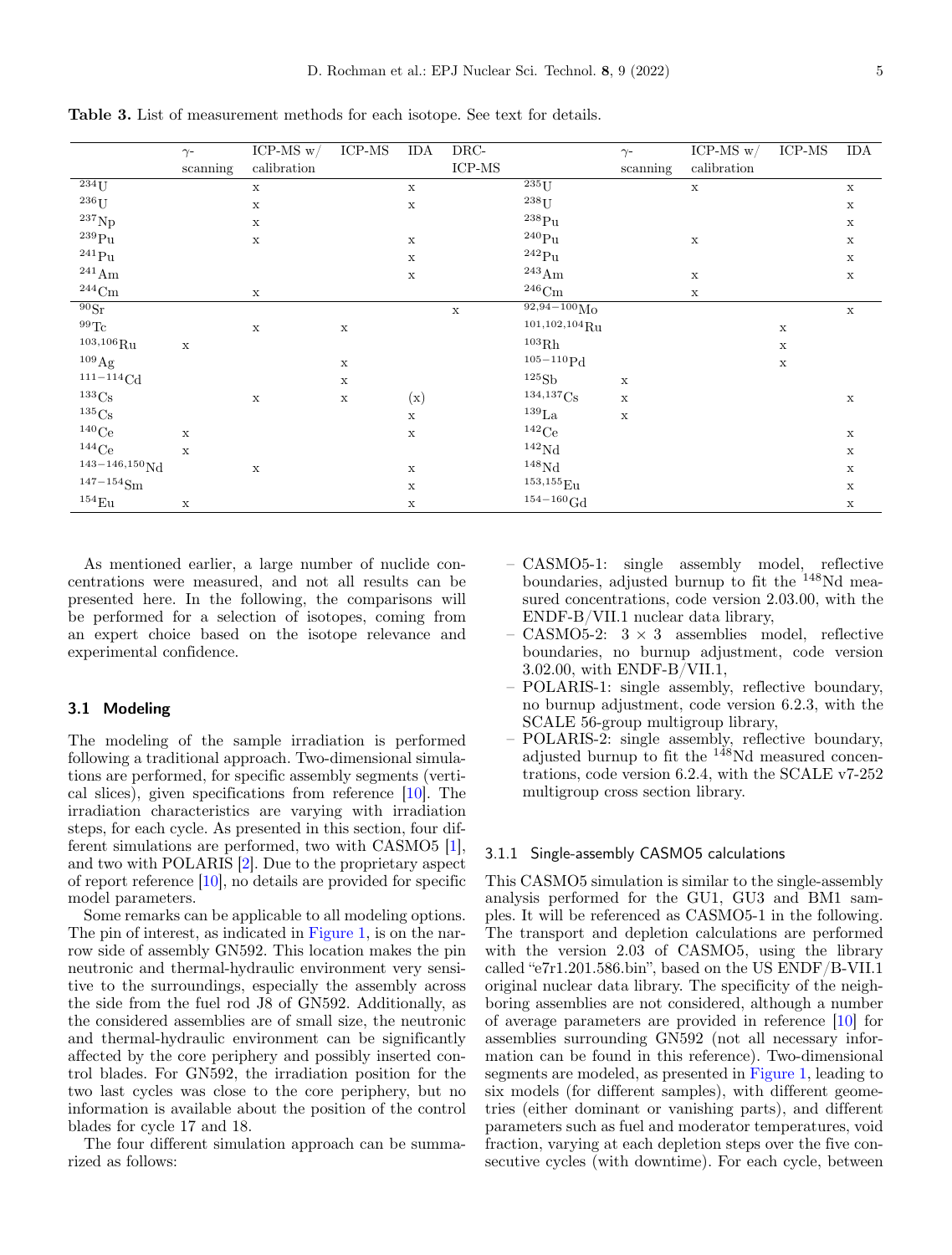|                            | $\gamma$ -  | ICP-MS $w/$ | ICP-MS      | IDA            | DRC-        |                             | $\gamma$ -  | ICP-MS $w/$ | ICP-MS      | IDA         |
|----------------------------|-------------|-------------|-------------|----------------|-------------|-----------------------------|-------------|-------------|-------------|-------------|
|                            | $scanning$  | calibration |             |                | ICP-MS      |                             | scanning    | calibration |             |             |
| $\overline{^{234}{\rm U}}$ |             | $\mathbf X$ |             | $\mathbf x$    |             | $\overline{^{235}U}$        |             | $\mathbf x$ |             | $\mathbf x$ |
| $^{236}\mathrm{U}$         |             | $\mathbf x$ |             | $\mathbf x$    |             | $238$ U                     |             |             |             | $\mathbf X$ |
| $^{237}\mathrm{Np}$        |             | $\mathbf x$ |             |                |             | $^{238}\rm{Pu}$             |             |             |             | $\mathbf x$ |
| $^{239}\mathrm{Pu}$        |             | $\mathbf x$ |             | $\mathbf x$    |             | $^{240}\mathrm{Pu}$         |             | $\mathbf X$ |             | $\mathbf X$ |
| $^{241}\mathrm{Pu}$        |             |             |             | $\mathbf x$    |             | $\rm ^{242}Pu$              |             |             |             | $\mathbf x$ |
| $^{241}\mathrm{Am}$        |             |             |             | $\mathbf X$    |             | $^{243}\mathrm{Am}$         |             | $\mathbf x$ |             | $\mathbf X$ |
| $\rm ^{244}Cm$             |             | $\mathbf X$ |             |                |             | $^{246}\mathrm{Cm}$         |             | $\mathbf X$ |             |             |
| 90Sr                       |             |             |             |                | $\mathbf x$ | $92,94-100M_0$              |             |             |             | $\mathbf x$ |
| $^{99}\mathrm{Te}$         |             | $\mathbf x$ | $\mathbf X$ |                |             | $^{101,102,104}\mathrm{Ru}$ |             |             | $\mathbf X$ |             |
| $^{103,106}\mathrm{Ru}$    | $\mathbf X$ |             |             |                |             | $^{103}\mathrm{Rh}$         |             |             | $\mathbf X$ |             |
| $^{109}\mathrm{Ag}$        |             |             | $\mathbf x$ |                |             | $105 - 110Pd$               |             |             | $\mathbf X$ |             |
| $^{\rm 111-114}\rm{Cd}$    |             |             | $\mathbf x$ |                |             | 125Sb                       | $\mathbf x$ |             |             |             |
| $133C_S$                   |             | $\mathbf x$ | $\mathbf X$ | $(\mathbf{x})$ |             | $134,137C_S$                | $\mathbf x$ |             |             | $\mathbf X$ |
| $135C_S$                   |             |             |             | $\mathbf x$    |             | $^{139}\rm{La}$             | $\mathbf x$ |             |             |             |
| $140$ Ce                   | $\mathbf x$ |             |             | $\mathbf x$    |             | $142$ Ce                    |             |             |             | $\mathbf X$ |
| $144$ Ce                   | $\mathbf x$ |             |             |                |             | 142Nd                       |             |             |             | $\mathbf X$ |
| $143 - 146,150 \text{Nd}$  |             | $\mathbf x$ |             | $\mathbf x$    |             | ${}^{148}\mathrm{Nd}$       |             |             |             | $\mathbf X$ |
| $\rm ^{147-154}Sm$         |             |             |             | $\mathbf x$    |             | $^{153,155}\mathrm{Eu}$     |             |             |             | $\mathbf X$ |
| $^{154}\mathrm{Eu}$        | $\mathbf X$ |             |             | $\mathbf X$    |             | $^{154-160}\mathrm{Gd}$     |             |             |             | $\mathbf X$ |

<span id="page-4-0"></span>**Table 3.** List of measurement methods for each isotope. See text for details.

As mentioned earlier, a large number of nuclide concentrations were measured, and not all results can be presented here. In the following, the comparisons will be performed for a selection of isotopes, coming from an expert choice based on the isotope relevance and experimental confidence.

#### **3.1 Modeling**

The modeling of the sample irradiation is performed following a traditional approach. Two-dimensional simulations are performed, for specific assembly segments (vertical slices), given specifications from reference [\[10\]](#page-14-7). The irradiation characteristics are varying with irradiation steps, for each cycle. As presented in this section, four different simulations are performed, two with CASMO5 [\[1\]](#page-14-0), and two with POLARIS [\[2\]](#page-14-1). Due to the proprietary aspect of report reference [\[10\]](#page-14-7), no details are provided for specific model parameters.

Some remarks can be applicable to all modeling options. The pin of interest, as indicated in [Figure 1,](#page-2-0) is on the narrow side of assembly GN592. This location makes the pin neutronic and thermal-hydraulic environment very sensitive to the surroundings, especially the assembly across the side from the fuel rod J8 of GN592. Additionally, as the considered assemblies are of small size, the neutronic and thermal-hydraulic environment can be significantly affected by the core periphery and possibly inserted control blades. For GN592, the irradiation position for the two last cycles was close to the core periphery, but no information is available about the position of the control blades for cycle 17 and 18.

The four different simulation approach can be summarized as follows:

- CASMO5-1: single assembly model, reflective boundaries, adjusted burnup to fit the <sup>148</sup>Nd measured concentrations, code version 2.03.00, with the ENDF-B/VII.1 nuclear data library,
- CASMO5-2:  $3 \times 3$  assemblies model, reflective boundaries, no burnup adjustment, code version 3.02.00, with ENDF-B/VII.1,
- POLARIS-1: single assembly, reflective boundary, no burnup adjustment, code version 6.2.3, with the SCALE 56-group multigroup library,
- POLARIS-2: single assembly, reflective boundary, adjusted burnup to fit the  $148$ Nd measured concentrations, code version 6.2.4, with the SCALE v7-252 multigroup cross section library.

### 3.1.1 Single-assembly CASMO5 calculations

This CASMO5 simulation is similar to the single-assembly analysis performed for the GU1, GU3 and BM1 samples. It will be referenced as CASMO5-1 in the following. The transport and depletion calculations are performed with the version 2.03 of CASMO5, using the library called "e7r1.201.586.bin", based on the US ENDF/B-VII.1 original nuclear data library. The specificity of the neighboring assemblies are not considered, although a number of average parameters are provided in reference [\[10\]](#page-14-7) for assemblies surrounding GN592 (not all necessary information can be found in this reference). Two-dimensional segments are modeled, as presented in [Figure 1,](#page-2-0) leading to six models (for different samples), with different geometries (either dominant or vanishing parts), and different parameters such as fuel and moderator temperatures, void fraction, varying at each depletion steps over the five consecutive cycles (with downtime). For each cycle, between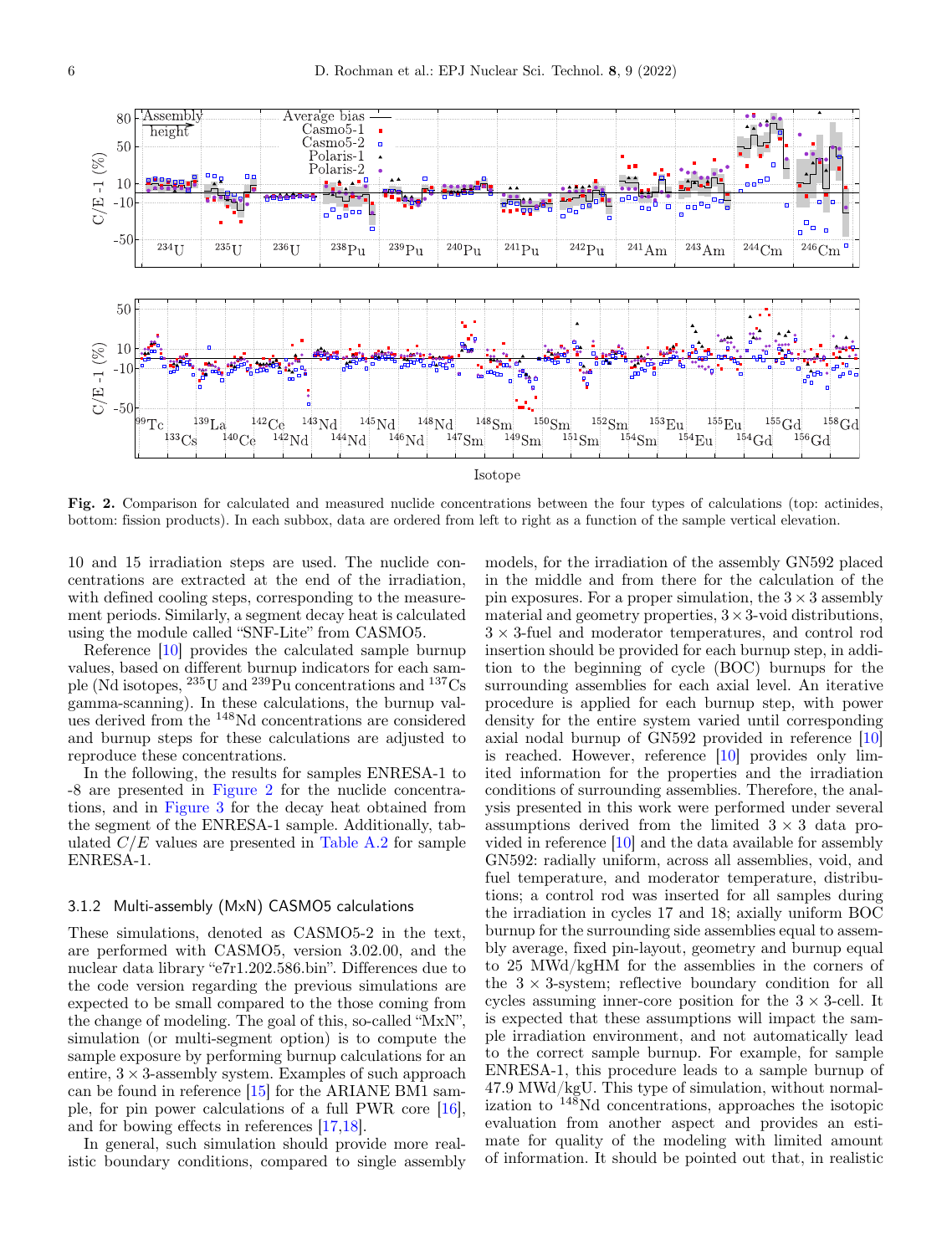

<span id="page-5-0"></span>**Fig. 2.** Comparison for calculated and measured nuclide concentrations between the four types of calculations (top: actinides, bottom: fission products). In each subbox, data are ordered from left to right as a function of the sample vertical elevation.

10 and 15 irradiation steps are used. The nuclide concentrations are extracted at the end of the irradiation, with defined cooling steps, corresponding to the measurement periods. Similarly, a segment decay heat is calculated using the module called "SNF-Lite" from CASMO5.

Reference [\[10\]](#page-14-7) provides the calculated sample burnup values, based on different burnup indicators for each sample (Nd isotopes,  $^{235}$ U and  $^{239}$ Pu concentrations and  $^{137}$ Cs gamma-scanning). In these calculations, the burnup values derived from the <sup>148</sup>Nd concentrations are considered and burnup steps for these calculations are adjusted to reproduce these concentrations.

In the following, the results for samples ENRESA-1 to -8 are presented in [Figure 2](#page-5-0) for the nuclide concentrations, and in [Figure 3](#page-9-0) for the decay heat obtained from the segment of the ENRESA-1 sample. Additionally, tabulated  $C/E$  values are presented in [Table A.2](#page-12-0) for sample ENRESA-1.

#### 3.1.2 Multi-assembly (MxN) CASMO5 calculations

These simulations, denoted as CASMO5-2 in the text, are performed with CASMO5, version 3.02.00, and the nuclear data library "e7r1.202.586.bin". Differences due to the code version regarding the previous simulations are expected to be small compared to the those coming from the change of modeling. The goal of this, so-called "MxN", simulation (or multi-segment option) is to compute the sample exposure by performing burnup calculations for an entire,  $3 \times 3$ -assembly system. Examples of such approach can be found in reference [\[15\]](#page-14-13) for the ARIANE BM1 sample, for pin power calculations of a full PWR core [\[16\]](#page-14-14), and for bowing effects in references [\[17,](#page-14-15)[18\]](#page-15-0).

In general, such simulation should provide more realistic boundary conditions, compared to single assembly

models, for the irradiation of the assembly GN592 placed in the middle and from there for the calculation of the pin exposures. For a proper simulation, the  $3 \times 3$  assembly material and geometry properties,  $3 \times 3$ -void distributions, 3 × 3-fuel and moderator temperatures, and control rod insertion should be provided for each burnup step, in addition to the beginning of cycle (BOC) burnups for the surrounding assemblies for each axial level. An iterative procedure is applied for each burnup step, with power density for the entire system varied until corresponding axial nodal burnup of GN592 provided in reference [\[10\]](#page-14-7) is reached. However, reference [\[10\]](#page-14-7) provides only limited information for the properties and the irradiation conditions of surrounding assemblies. Therefore, the analysis presented in this work were performed under several assumptions derived from the limited  $3 \times 3$  data provided in reference [\[10\]](#page-14-7) and the data available for assembly GN592: radially uniform, across all assemblies, void, and fuel temperature, and moderator temperature, distributions; a control rod was inserted for all samples during the irradiation in cycles 17 and 18; axially uniform BOC burnup for the surrounding side assemblies equal to assembly average, fixed pin-layout, geometry and burnup equal to 25 MWd/kgHM for the assemblies in the corners of the  $3 \times 3$ -system; reflective boundary condition for all cycles assuming inner-core position for the  $3 \times 3$ -cell. It is expected that these assumptions will impact the sample irradiation environment, and not automatically lead to the correct sample burnup. For example, for sample ENRESA-1, this procedure leads to a sample burnup of 47.9 MWd/kgU. This type of simulation, without normalization to <sup>148</sup>Nd concentrations, approaches the isotopic evaluation from another aspect and provides an estimate for quality of the modeling with limited amount of information. It should be pointed out that, in realistic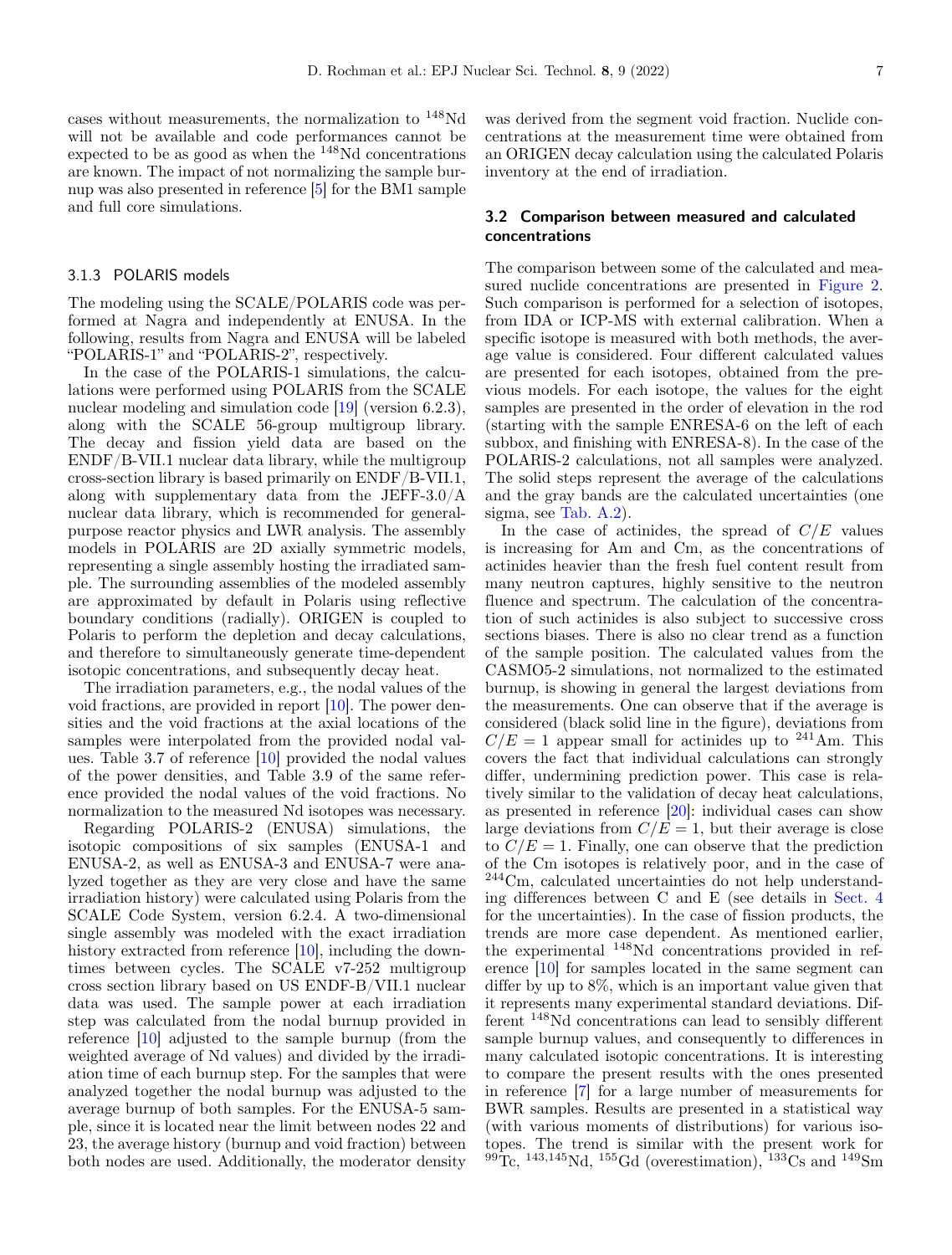cases without measurements, the normalization to <sup>148</sup>Nd will not be available and code performances cannot be expected to be as good as when the <sup>148</sup>Nd concentrations are known. The impact of not normalizing the sample burnup was also presented in reference [\[5\]](#page-14-3) for the BM1 sample and full core simulations.

#### <span id="page-6-0"></span>3.1.3 POLARIS models

The modeling using the SCALE/POLARIS code was performed at Nagra and independently at ENUSA. In the following, results from Nagra and ENUSA will be labeled "POLARIS-1" and "POLARIS-2", respectively.

In the case of the POLARIS-1 simulations, the calculations were performed using POLARIS from the SCALE nuclear modeling and simulation code [\[19\]](#page-15-1) (version 6.2.3), along with the SCALE 56-group multigroup library. The decay and fission yield data are based on the ENDF/B-VII.1 nuclear data library, while the multigroup cross-section library is based primarily on ENDF/B-VII.1, along with supplementary data from the JEFF-3.0/A nuclear data library, which is recommended for generalpurpose reactor physics and LWR analysis. The assembly models in POLARIS are 2D axially symmetric models, representing a single assembly hosting the irradiated sample. The surrounding assemblies of the modeled assembly are approximated by default in Polaris using reflective boundary conditions (radially). ORIGEN is coupled to Polaris to perform the depletion and decay calculations, and therefore to simultaneously generate time-dependent isotopic concentrations, and subsequently decay heat.

The irradiation parameters, e.g., the nodal values of the void fractions, are provided in report [\[10\]](#page-14-7). The power densities and the void fractions at the axial locations of the samples were interpolated from the provided nodal values. Table 3.7 of reference [\[10\]](#page-14-7) provided the nodal values of the power densities, and Table 3.9 of the same reference provided the nodal values of the void fractions. No normalization to the measured Nd isotopes was necessary.

Regarding POLARIS-2 (ENUSA) simulations, the isotopic compositions of six samples (ENUSA-1 and ENUSA-2, as well as ENUSA-3 and ENUSA-7 were analyzed together as they are very close and have the same irradiation history) were calculated using Polaris from the SCALE Code System, version 6.2.4. A two-dimensional single assembly was modeled with the exact irradiation history extracted from reference [\[10\]](#page-14-7), including the downtimes between cycles. The SCALE v7-252 multigroup cross section library based on US ENDF-B/VII.1 nuclear data was used. The sample power at each irradiation step was calculated from the nodal burnup provided in reference [\[10\]](#page-14-7) adjusted to the sample burnup (from the weighted average of Nd values) and divided by the irradiation time of each burnup step. For the samples that were analyzed together the nodal burnup was adjusted to the average burnup of both samples. For the ENUSA-5 sample, since it is located near the limit between nodes 22 and 23, the average history (burnup and void fraction) between both nodes are used. Additionally, the moderator density

was derived from the segment void fraction. Nuclide concentrations at the measurement time were obtained from an ORIGEN decay calculation using the calculated Polaris inventory at the end of irradiation.

### **3.2 Comparison between measured and calculated concentrations**

The comparison between some of the calculated and measured nuclide concentrations are presented in [Figure 2.](#page-5-0) Such comparison is performed for a selection of isotopes, from IDA or ICP-MS with external calibration. When a specific isotope is measured with both methods, the average value is considered. Four different calculated values are presented for each isotopes, obtained from the previous models. For each isotope, the values for the eight samples are presented in the order of elevation in the rod (starting with the sample ENRESA-6 on the left of each subbox, and finishing with ENRESA-8). In the case of the POLARIS-2 calculations, not all samples were analyzed. The solid steps represent the average of the calculations and the gray bands are the calculated uncertainties (one sigma, see Tab. [A.2\)](#page-12-0).

In the case of actinides, the spread of  $C/E$  values is increasing for Am and Cm, as the concentrations of actinides heavier than the fresh fuel content result from many neutron captures, highly sensitive to the neutron fluence and spectrum. The calculation of the concentration of such actinides is also subject to successive cross sections biases. There is also no clear trend as a function of the sample position. The calculated values from the CASMO5-2 simulations, not normalized to the estimated burnup, is showing in general the largest deviations from the measurements. One can observe that if the average is considered (black solid line in the figure), deviations from  $C/E = 1$  appear small for actinides up to <sup>241</sup>Am. This covers the fact that individual calculations can strongly differ, undermining prediction power. This case is relatively similar to the validation of decay heat calculations, as presented in reference [\[20\]](#page-15-2): individual cases can show large deviations from  $C/E = 1$ , but their average is close to  $C/E = 1$ . Finally, one can observe that the prediction of the Cm isotopes is relatively poor, and in the case of <sup>244</sup>Cm, calculated uncertainties do not help understanding differences between C and E (see details in Sect. [4](#page-7-0) for the uncertainties). In the case of fission products, the trends are more case dependent. As mentioned earlier, the experimental <sup>148</sup>Nd concentrations provided in reference [\[10\]](#page-14-7) for samples located in the same segment can differ by up to 8%, which is an important value given that it represents many experimental standard deviations. Different <sup>148</sup>Nd concentrations can lead to sensibly different sample burnup values, and consequently to differences in many calculated isotopic concentrations. It is interesting to compare the present results with the ones presented in reference [\[7\]](#page-14-12) for a large number of measurements for BWR samples. Results are presented in a statistical way (with various moments of distributions) for various isotopes. The trend is similar with the present work for  $^{99}$ Tc,  $^{143,145}$ Nd,  $^{155}$ Gd (overestimation),  $^{133}$ Cs and  $^{149}$ Sm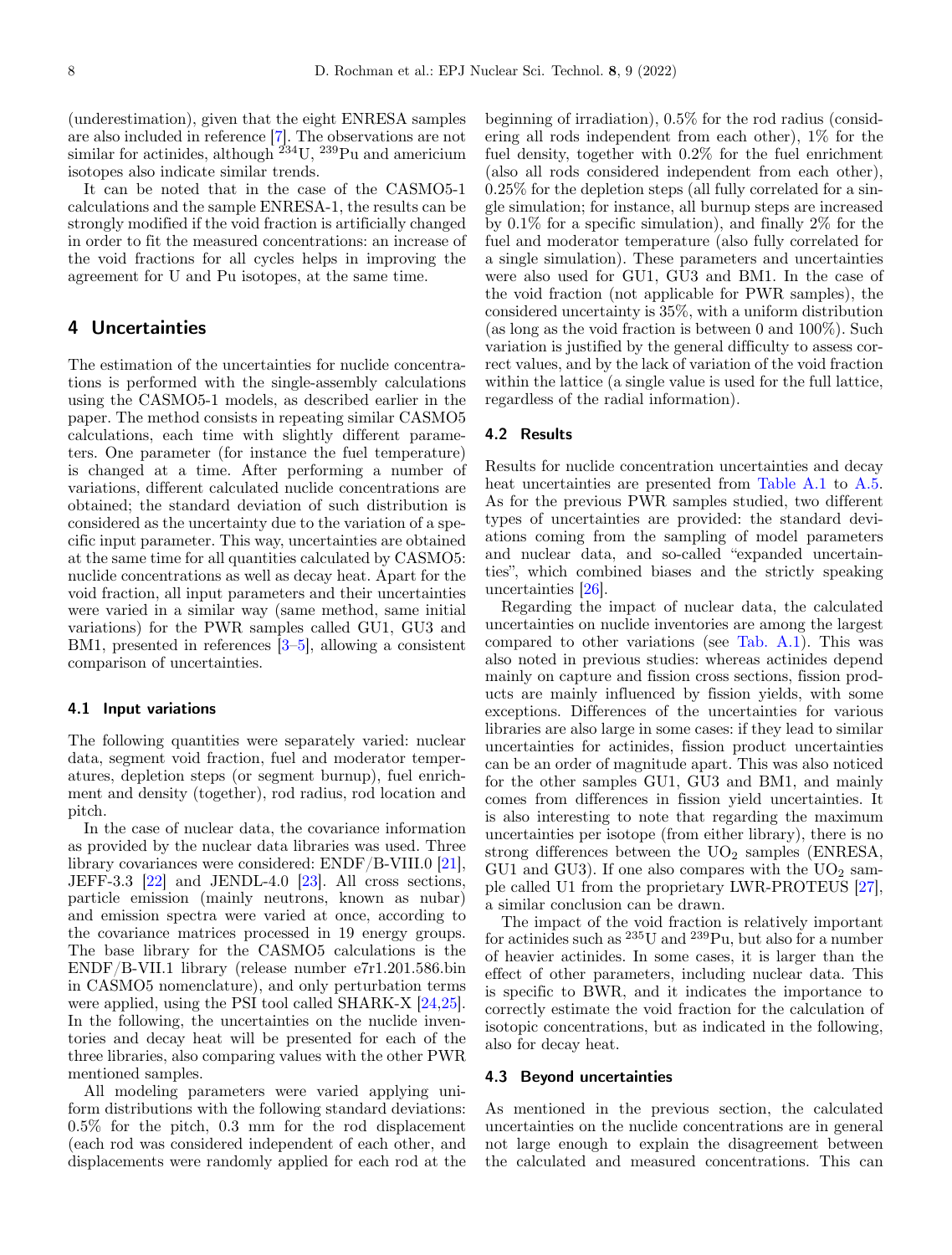(underestimation), given that the eight ENRESA samples are also included in reference [\[7\]](#page-14-12). The observations are not similar for actinides, although  $234$ U,  $239$ Pu and americium isotopes also indicate similar trends.

It can be noted that in the case of the CASMO5-1 calculations and the sample ENRESA-1, the results can be strongly modified if the void fraction is artificially changed in order to fit the measured concentrations: an increase of the void fractions for all cycles helps in improving the agreement for U and Pu isotopes, at the same time.

# <span id="page-7-0"></span>**4 Uncertainties**

The estimation of the uncertainties for nuclide concentrations is performed with the single-assembly calculations using the CASMO5-1 models, as described earlier in the paper. The method consists in repeating similar CASMO5 calculations, each time with slightly different parameters. One parameter (for instance the fuel temperature) is changed at a time. After performing a number of variations, different calculated nuclide concentrations are obtained; the standard deviation of such distribution is considered as the uncertainty due to the variation of a specific input parameter. This way, uncertainties are obtained at the same time for all quantities calculated by CASMO5: nuclide concentrations as well as decay heat. Apart for the void fraction, all input parameters and their uncertainties were varied in a similar way (same method, same initial variations) for the PWR samples called GU1, GU3 and BM1, presented in references [\[3](#page-14-2)[–5\]](#page-14-3), allowing a consistent comparison of uncertainties.

#### **4.1 Input variations**

The following quantities were separately varied: nuclear data, segment void fraction, fuel and moderator temperatures, depletion steps (or segment burnup), fuel enrichment and density (together), rod radius, rod location and pitch.

In the case of nuclear data, the covariance information as provided by the nuclear data libraries was used. Three library covariances were considered: ENDF/B-VIII.0 [\[21\]](#page-15-3), JEFF-3.3  $[22]$  and JENDL-4.0  $[23]$ . All cross sections, particle emission (mainly neutrons, known as nubar) and emission spectra were varied at once, according to the covariance matrices processed in 19 energy groups. The base library for the CASMO5 calculations is the ENDF/B-VII.1 library (release number e7r1.201.586.bin in CASMO5 nomenclature), and only perturbation terms were applied, using the PSI tool called SHARK-X [\[24](#page-15-6)[,25\]](#page-15-7). In the following, the uncertainties on the nuclide inventories and decay heat will be presented for each of the three libraries, also comparing values with the other PWR mentioned samples.

All modeling parameters were varied applying uniform distributions with the following standard deviations: 0.5% for the pitch, 0.3 mm for the rod displacement (each rod was considered independent of each other, and displacements were randomly applied for each rod at the beginning of irradiation), 0.5% for the rod radius (considering all rods independent from each other), 1% for the fuel density, together with 0.2% for the fuel enrichment (also all rods considered independent from each other), 0.25% for the depletion steps (all fully correlated for a single simulation; for instance, all burnup steps are increased by 0.1% for a specific simulation), and finally 2% for the fuel and moderator temperature (also fully correlated for a single simulation). These parameters and uncertainties were also used for GU1, GU3 and BM1. In the case of the void fraction (not applicable for PWR samples), the considered uncertainty is 35%, with a uniform distribution (as long as the void fraction is between 0 and 100%). Such variation is justified by the general difficulty to assess correct values, and by the lack of variation of the void fraction within the lattice (a single value is used for the full lattice, regardless of the radial information).

#### **4.2 Results**

Results for nuclide concentration uncertainties and decay heat uncertainties are presented from [Table A.1](#page-11-0) to [A.5.](#page-14-16) As for the previous PWR samples studied, two different types of uncertainties are provided: the standard deviations coming from the sampling of model parameters and nuclear data, and so-called "expanded uncertainties", which combined biases and the strictly speaking uncertainties [\[26\]](#page-15-8).

Regarding the impact of nuclear data, the calculated uncertainties on nuclide inventories are among the largest compared to other variations (see Tab. [A.1\)](#page-11-0). This was also noted in previous studies: whereas actinides depend mainly on capture and fission cross sections, fission products are mainly influenced by fission yields, with some exceptions. Differences of the uncertainties for various libraries are also large in some cases: if they lead to similar uncertainties for actinides, fission product uncertainties can be an order of magnitude apart. This was also noticed for the other samples GU1, GU3 and BM1, and mainly comes from differences in fission yield uncertainties. It is also interesting to note that regarding the maximum uncertainties per isotope (from either library), there is no strong differences between the  $UO<sub>2</sub>$  samples (ENRESA, GU1 and GU3). If one also compares with the  $UO<sub>2</sub>$  sample called U1 from the proprietary LWR-PROTEUS [\[27\]](#page-15-9), a similar conclusion can be drawn.

The impact of the void fraction is relatively important for actinides such as <sup>235</sup>U and <sup>239</sup>Pu, but also for a number of heavier actinides. In some cases, it is larger than the effect of other parameters, including nuclear data. This is specific to BWR, and it indicates the importance to correctly estimate the void fraction for the calculation of isotopic concentrations, but as indicated in the following, also for decay heat.

#### **4.3 Beyond uncertainties**

As mentioned in the previous section, the calculated uncertainties on the nuclide concentrations are in general not large enough to explain the disagreement between the calculated and measured concentrations. This can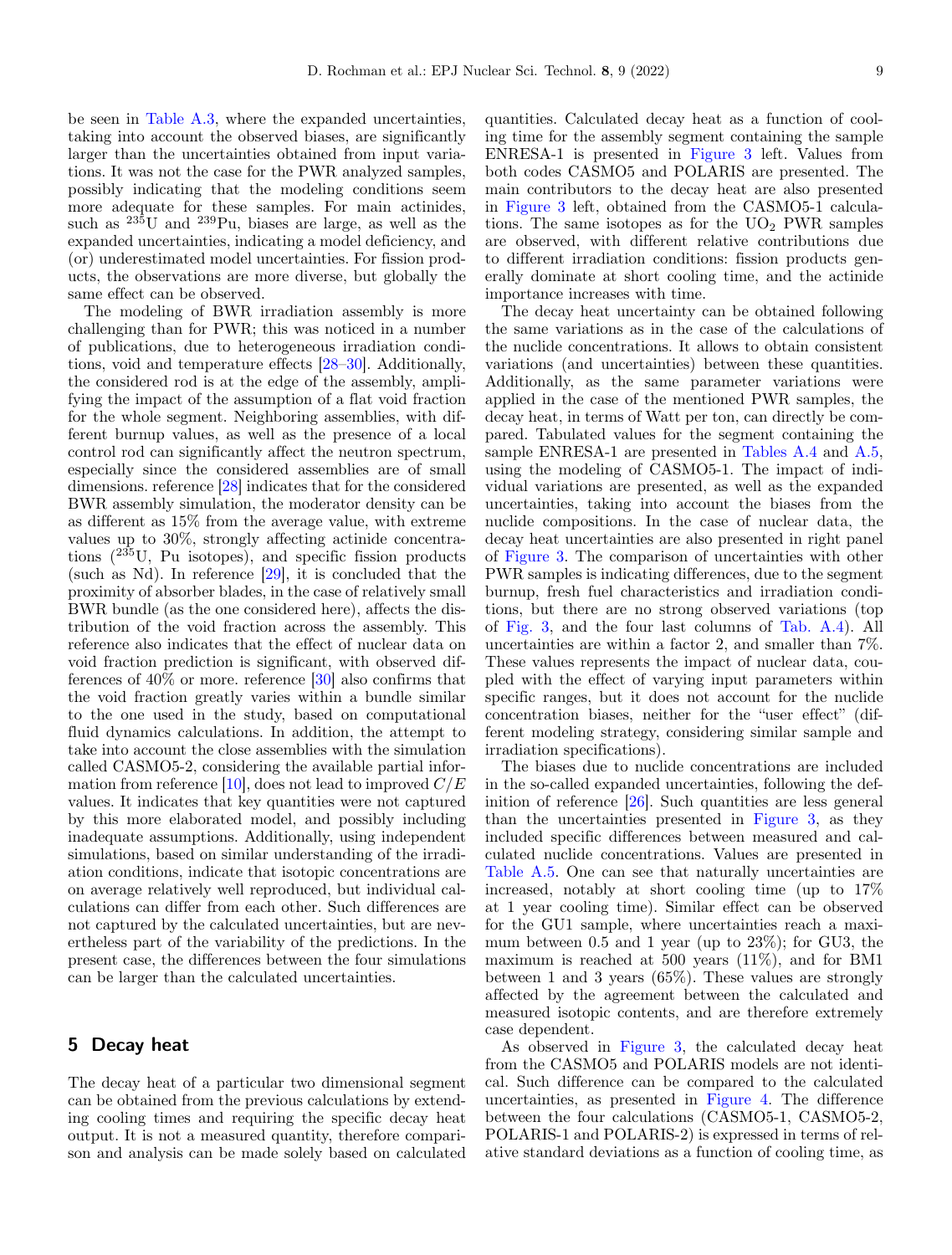be seen in [Table A.3,](#page-12-1) where the expanded uncertainties, taking into account the observed biases, are significantly larger than the uncertainties obtained from input variations. It was not the case for the PWR analyzed samples, possibly indicating that the modeling conditions seem more adequate for these samples. For main actinides, such as  $^{235}$ U and  $^{239}$ Pu, biases are large, as well as the expanded uncertainties, indicating a model deficiency, and (or) underestimated model uncertainties. For fission products, the observations are more diverse, but globally the same effect can be observed.

The modeling of BWR irradiation assembly is more challenging than for PWR; this was noticed in a number of publications, due to heterogeneous irradiation conditions, void and temperature effects [\[28–](#page-15-10)[30\]](#page-15-11). Additionally, the considered rod is at the edge of the assembly, amplifying the impact of the assumption of a flat void fraction for the whole segment. Neighboring assemblies, with different burnup values, as well as the presence of a local control rod can significantly affect the neutron spectrum, especially since the considered assemblies are of small dimensions. reference [\[28\]](#page-15-10) indicates that for the considered BWR assembly simulation, the moderator density can be as different as 15% from the average value, with extreme values up to 30%, strongly affecting actinide concentrations  $(^{235}U$ , Pu isotopes), and specific fission products (such as Nd). In reference [\[29\]](#page-15-12), it is concluded that the proximity of absorber blades, in the case of relatively small BWR bundle (as the one considered here), affects the distribution of the void fraction across the assembly. This reference also indicates that the effect of nuclear data on void fraction prediction is significant, with observed differences of  $40\%$  or more. reference  $[30]$  also confirms that the void fraction greatly varies within a bundle similar to the one used in the study, based on computational fluid dynamics calculations. In addition, the attempt to take into account the close assemblies with the simulation called CASMO5-2, considering the available partial infor-mation from reference [\[10\]](#page-14-7), does not lead to improved  $C/E$ values. It indicates that key quantities were not captured by this more elaborated model, and possibly including inadequate assumptions. Additionally, using independent simulations, based on similar understanding of the irradiation conditions, indicate that isotopic concentrations are on average relatively well reproduced, but individual calculations can differ from each other. Such differences are not captured by the calculated uncertainties, but are nevertheless part of the variability of the predictions. In the present case, the differences between the four simulations can be larger than the calculated uncertainties.

# **5 Decay heat**

The decay heat of a particular two dimensional segment can be obtained from the previous calculations by extending cooling times and requiring the specific decay heat output. It is not a measured quantity, therefore comparison and analysis can be made solely based on calculated

quantities. Calculated decay heat as a function of cooling time for the assembly segment containing the sample ENRESA-1 is presented in [Figure 3](#page-9-0) left. Values from both codes CASMO5 and POLARIS are presented. The main contributors to the decay heat are also presented in [Figure 3](#page-9-0) left, obtained from the CASMO5-1 calculations. The same isotopes as for the  $UO<sub>2</sub>$  PWR samples are observed, with different relative contributions due to different irradiation conditions: fission products generally dominate at short cooling time, and the actinide importance increases with time.

The decay heat uncertainty can be obtained following the same variations as in the case of the calculations of the nuclide concentrations. It allows to obtain consistent variations (and uncertainties) between these quantities. Additionally, as the same parameter variations were applied in the case of the mentioned PWR samples, the decay heat, in terms of Watt per ton, can directly be compared. Tabulated values for the segment containing the sample ENRESA-1 are presented in Tables [A.4](#page-13-0) and [A.5,](#page-14-16) using the modeling of CASMO5-1. The impact of individual variations are presented, as well as the expanded uncertainties, taking into account the biases from the nuclide compositions. In the case of nuclear data, the decay heat uncertainties are also presented in right panel of [Figure 3.](#page-9-0) The comparison of uncertainties with other PWR samples is indicating differences, due to the segment burnup, fresh fuel characteristics and irradiation conditions, but there are no strong observed variations (top of Fig. [3,](#page-9-0) and the four last columns of Tab. [A.4\)](#page-13-0). All uncertainties are within a factor 2, and smaller than 7%. These values represents the impact of nuclear data, coupled with the effect of varying input parameters within specific ranges, but it does not account for the nuclide concentration biases, neither for the "user effect" (different modeling strategy, considering similar sample and irradiation specifications).

The biases due to nuclide concentrations are included in the so-called expanded uncertainties, following the definition of reference [\[26\]](#page-15-8). Such quantities are less general than the uncertainties presented in [Figure 3,](#page-9-0) as they included specific differences between measured and calculated nuclide concentrations. Values are presented in [Table A.5.](#page-14-16) One can see that naturally uncertainties are increased, notably at short cooling time (up to 17% at 1 year cooling time). Similar effect can be observed for the GU1 sample, where uncertainties reach a maximum between 0.5 and 1 year (up to 23%); for GU3, the maximum is reached at 500 years  $(11\%)$ , and for BM1 between 1 and 3 years (65%). These values are strongly affected by the agreement between the calculated and measured isotopic contents, and are therefore extremely case dependent.

As observed in [Figure 3,](#page-9-0) the calculated decay heat from the CASMO5 and POLARIS models are not identical. Such difference can be compared to the calculated uncertainties, as presented in [Figure 4.](#page-9-1) The difference between the four calculations (CASMO5-1, CASMO5-2, POLARIS-1 and POLARIS-2) is expressed in terms of relative standard deviations as a function of cooling time, as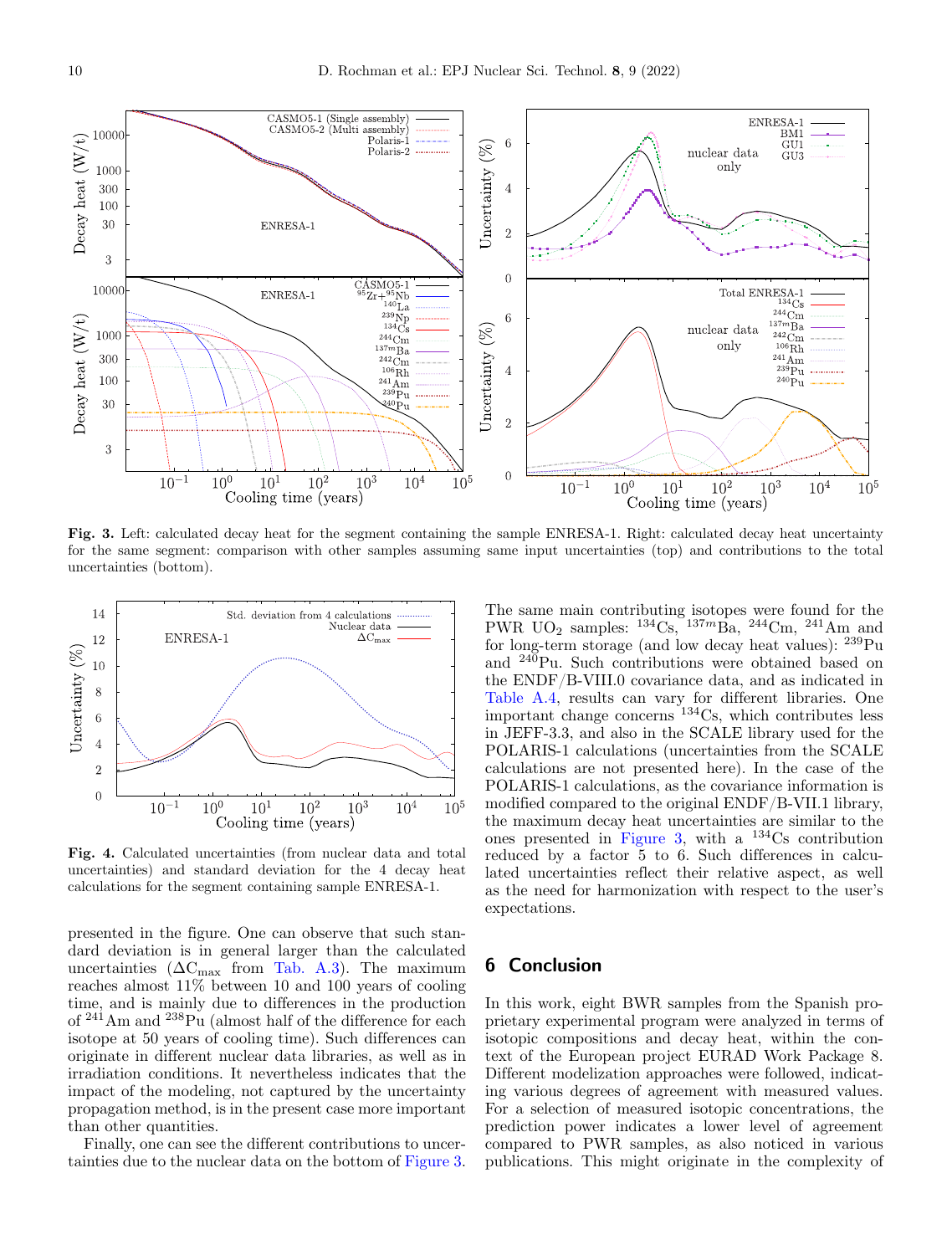

<span id="page-9-0"></span>**Fig. 3.** Left: calculated decay heat for the segment containing the sample ENRESA-1. Right: calculated decay heat uncertainty for the same segment: comparison with other samples assuming same input uncertainties (top) and contributions to the total uncertainties (bottom).



<span id="page-9-1"></span>**Fig. 4.** Calculated uncertainties (from nuclear data and total uncertainties) and standard deviation for the 4 decay heat calculations for the segment containing sample ENRESA-1.

presented in the figure. One can observe that such standard deviation is in general larger than the calculated uncertainties  $(\Delta C_{\text{max}}$  from Tab. [A.3\)](#page-12-1). The maximum reaches almost 11% between 10 and 100 years of cooling time, and is mainly due to differences in the production of  $241$ Am and  $238$ Pu (almost half of the difference for each isotope at 50 years of cooling time). Such differences can originate in different nuclear data libraries, as well as in irradiation conditions. It nevertheless indicates that the impact of the modeling, not captured by the uncertainty propagation method, is in the present case more important than other quantities.

Finally, one can see the different contributions to uncertainties due to the nuclear data on the bottom of [Figure 3.](#page-9-0)

The same main contributing isotopes were found for the PWR UO<sub>2</sub> samples:  $^{134}$ Cs,  $^{137m}$ Ba,  $^{244}$ Cm,  $^{241}$ Am and for long-term storage (and low decay heat values):  $^{239}Pu$ and <sup>240</sup>Pu. Such contributions were obtained based on the ENDF/B-VIII.0 covariance data, and as indicated in [Table A.4,](#page-13-0) results can vary for different libraries. One important change concerns <sup>134</sup>Cs, which contributes less in JEFF-3.3, and also in the SCALE library used for the POLARIS-1 calculations (uncertainties from the SCALE calculations are not presented here). In the case of the POLARIS-1 calculations, as the covariance information is modified compared to the original ENDF/B-VII.1 library, the maximum decay heat uncertainties are similar to the ones presented in [Figure 3,](#page-9-0) with a  $^{134}Cs$  contribution reduced by a factor 5 to 6. Such differences in calculated uncertainties reflect their relative aspect, as well as the need for harmonization with respect to the user's expectations.

# **6 Conclusion**

In this work, eight BWR samples from the Spanish proprietary experimental program were analyzed in terms of isotopic compositions and decay heat, within the context of the European project EURAD Work Package 8. Different modelization approaches were followed, indicating various degrees of agreement with measured values. For a selection of measured isotopic concentrations, the prediction power indicates a lower level of agreement compared to PWR samples, as also noticed in various publications. This might originate in the complexity of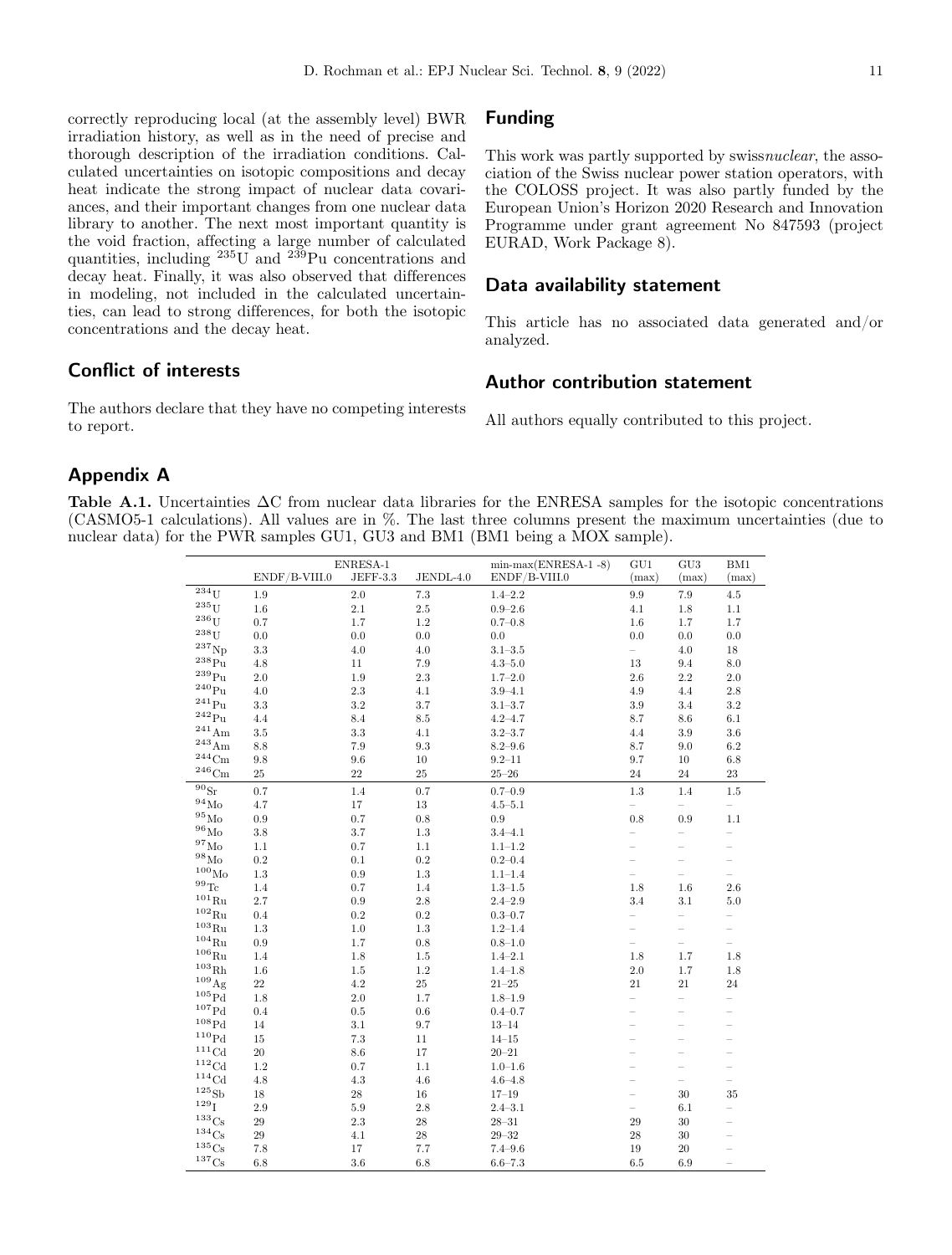correctly reproducing local (at the assembly level) BWR irradiation history, as well as in the need of precise and thorough description of the irradiation conditions. Calculated uncertainties on isotopic compositions and decay heat indicate the strong impact of nuclear data covariances, and their important changes from one nuclear data library to another. The next most important quantity is the void fraction, affecting a large number of calculated quantities, including  $235\overline{U}$  and  $239\overline{Pu}$  concentrations and decay heat. Finally, it was also observed that differences in modeling, not included in the calculated uncertainties, can lead to strong differences, for both the isotopic concentrations and the decay heat.

# **Conflict of interests**

The authors declare that they have no competing interests to report.

# **Funding**

This work was partly supported by swiss*nuclear*, the association of the Swiss nuclear power station operators, with the COLOSS project. It was also partly funded by the European Union's Horizon 2020 Research and Innovation Programme under grant agreement No 847593 (project EURAD, Work Package 8).

## **Data availability statement**

This article has no associated data generated and/or analyzed.

# **Author contribution statement**

All authors equally contributed to this project.

### **Appendix A**

**Table A.1.** Uncertainties ∆C from nuclear data libraries for the ENRESA samples for the isotopic concentrations (CASMO5-1 calculations). All values are in %. The last three columns present the maximum uncertainties (due to nuclear data) for the PWR samples GU1, GU3 and BM1 (BM1 being a MOX sample).

|                             |               | ENRESA-1   |             | $min-max(ENRESA-1 - 8)$ | GU1                      | GU <sub>3</sub>          | BM1                      |
|-----------------------------|---------------|------------|-------------|-------------------------|--------------------------|--------------------------|--------------------------|
|                             | ENDF/B-VIII.0 | $JEFF-3.3$ | JENDL-4.0   | ENDF/B-VIII.0           | (max)                    | (max)                    | (max)                    |
| $\overline{^{234}}\text{U}$ | 1.9           | 2.0        | 7.3         | $1.4 - 2.2$             | $\,9.9$                  | $7.9\,$                  | $4.5\,$                  |
| $^{235}$ U                  | 1.6           | 2.1        | 2.5         | $0.9 - 2.6$             | 4.1                      | $1.8\,$                  | $1.1\,$                  |
| $236$ U                     | 0.7           | 1.7        | 1.2         | $0.7 - 0.8$             | 1.6                      | 1.7                      | 1.7                      |
| $^{238}\mathrm{U}$          | 0.0           | 0.0        | 0.0         | 0.0                     | 0.0                      | 0.0                      | $0.0\,$                  |
| $^{237}\mathrm{Np}$         | 3.3           | $4.0\,$    | 4.0         | $3.1 - 3.5$             | $\overline{\phantom{0}}$ | 4.0                      | 18                       |
| $\rm ^{238}Pu$              | 4.8           | 11         | 7.9         | $4.3 - 5.0$             | 13                       | 9.4                      | $8.0\,$                  |
| $^{239}\rm{Pu}$             | 2.0           | 1.9        | 2.3         | $1.7 - 2.0$             | 2.6                      | 2.2                      | $2.0\,$                  |
| $^{240}\rm{Pu}$             | 4.0           | $2.3\,$    | 4.1         | $3.9 - 4.1$             | 4.9                      | 4.4                      | $2.8\,$                  |
| $\rm ^{241}Pu$              | 3.3           | $3.2\,$    | 3.7         | $3.1 - 3.7$             | $3.9\,$                  | 3.4                      | $3.2\,$                  |
| $^{242}\mathrm{Pu}$         | 4.4           | 8.4        | 8.5         | $4.2 - 4.7$             | 8.7                      | 8.6                      | $6.1\,$                  |
| $^{241}\mathrm{Am}$         | 3.5           | 3.3        | 4.1         | $3.2 - 3.7$             | 4.4                      | 3.9                      | 3.6                      |
| $^{243}\mathrm{Am}$         | 8.8           | 7.9        | 9.3         | $8.2 - 9.6$             | 8.7                      | 9.0                      | $6.2\,$                  |
| $^{244}\mathrm{Cm}$         | 9.8           | 9.6        | 10          | $9.2 - 11$              | 9.7                      | 10                       | $6.8\,$                  |
| $^{246}\mathrm{Cm}$         | 25            | 22         | 25          | $25\hbox{--}26$         | 24                       | 24                       | 23                       |
| $^{90}\rm{Sr}$              | 0.7           | $1.4\,$    | 0.7         | $0.7 - 0.9$             | $1.3\,$                  | 1.4                      | $1.5\,$                  |
| $^{94}\rm{Mo}$              | 4.7           | 17         | 13          | $4.5 - 5.1$             | $\overline{\phantom{0}}$ | $\overline{\phantom{0}}$ | $\overline{\phantom{0}}$ |
| $^{95}\rm{Mo}$              | 0.9           | 0.7        | 0.8         | 0.9                     | 0.8                      | 0.9                      | 1.1                      |
| $^{96}\rm{Mo}$              | 3.8           | 3.7        | 1.3         | $3.4 - 4.1$             |                          | $\overline{\phantom{0}}$ | $\overline{a}$           |
| $^{97}\rm{Mo}$              | $1.1\,$       | 0.7        | 1.1         | $1.1 - 1.2$             |                          |                          | $\overline{\phantom{0}}$ |
| $^{98}\rm{Mo}$              | 0.2           | 0.1        | 0.2         | $0.2 - 0.4$             |                          |                          | $\overline{\phantom{0}}$ |
| $^{100}\rm{Mo}$             | 1.3           | 0.9        | 1.3         | $1.1 - 1.4$             |                          |                          |                          |
| $^{99}\mathrm{Te}$          | 1.4           | 0.7        | 1.4         | $1.3 - 1.5$             | $1.8\,$                  | 1.6                      | 2.6                      |
| $^{101}\mathrm{Ru}$         | 2.7           | $0.9\,$    | 2.8         | $2.4 - 2.9$             | 3.4                      | 3.1                      | $5.0\,$                  |
| $^{102}\mathrm{Ru}$         | 0.4           | 0.2        | 0.2         | $0.3 - 0.7$             |                          |                          | $\overline{\phantom{0}}$ |
| $^{103}\mathrm{Ru}$         | 1.3           | $1.0\,$    | 1.3         | $1.2 - 1.4$             |                          |                          |                          |
| $^{104}\mathrm{Ru}$         | 0.9           | $1.7\,$    | 0.8         | $0.8 - 1.0$             | $\overline{\phantom{0}}$ | $\overline{\phantom{0}}$ | $\overline{\phantom{0}}$ |
| $^{106}\mathrm{Ru}$         | 1.4           | 1.8        | 1.5         | $1.4 - 2.1$             | 1.8                      | 1.7                      | 1.8                      |
| ${}^{103}\mathrm{Rh}$       | 1.6           | 1.5        | 1.2         | $1.4 - 1.8$             | 2.0                      | 1.7                      | 1.8                      |
| $^{109}{\rm Ag}$            | 22            | $4.2\,$    | $25\,$      | $21 - 25$               | 21                       | 21                       | 24                       |
| ${}^{105}\mathrm{Pd}$       | 1.8           | 2.0        | 1.7         | $1.8 - 1.9$             |                          |                          | $\overline{a}$           |
| ${}^{107}\mathrm{Pd}$       | 0.4           | 0.5        | $0.6\,$     | $0.4 - 0.7$             |                          |                          |                          |
| ${}^{108}\mathrm{Pd}$       | 14            | 3.1        | 9.7         | $13 - 14$               |                          |                          |                          |
| ${}^{110}\mathrm{Pd}$       | 15            | $7.3\,$    | 11          | $14 - 15$               |                          |                          |                          |
| ${}^{111}\mathrm{Cd}$       | 20            | $8.6\,$    | 17          | $20 - 21$               |                          |                          |                          |
| ${}^{112}\mathrm{Cd}$       | $1.2\,$       | 0.7        | $1.1\,$     | $1.0 - 1.6$             |                          | $\overline{\phantom{a}}$ |                          |
| ${}^{114}\mathrm{Cd}$       | 4.8           | $4.3\,$    | 4.6         | $4.6 - 4.8$             |                          | $\overline{\phantom{0}}$ |                          |
| ${}^{125}{\rm Sb}$          | 18            | 28         | $16\,$      | $17 - 19$               |                          | 30                       | 35                       |
| $129$ $\bar{I}$             | 2.9           | 5.9        | 2.8         | $2.4 - 3.1$             | $\overline{\phantom{0}}$ | 6.1                      |                          |
| $^{133}\mathrm{Cs}$         | 29            | 2.3        | 28          | $28 - 31$               | 29                       | 30                       |                          |
| $^{134}\mathrm{Cs}$         | 29            | 4.1        | $\sqrt{28}$ | $29 - 32$               | 28                       | 30                       |                          |
| $^{135}\mathrm{Cs}$         | 7.8           | 17         | 7.7         | $7.4 - 9.6$             | 19                       | 20                       |                          |
| $^{137}\mathrm{Cs}$         | 6.8           | 3.6        | 6.8         | $6.6 - 7.3$             | 6.5                      | 6.9                      |                          |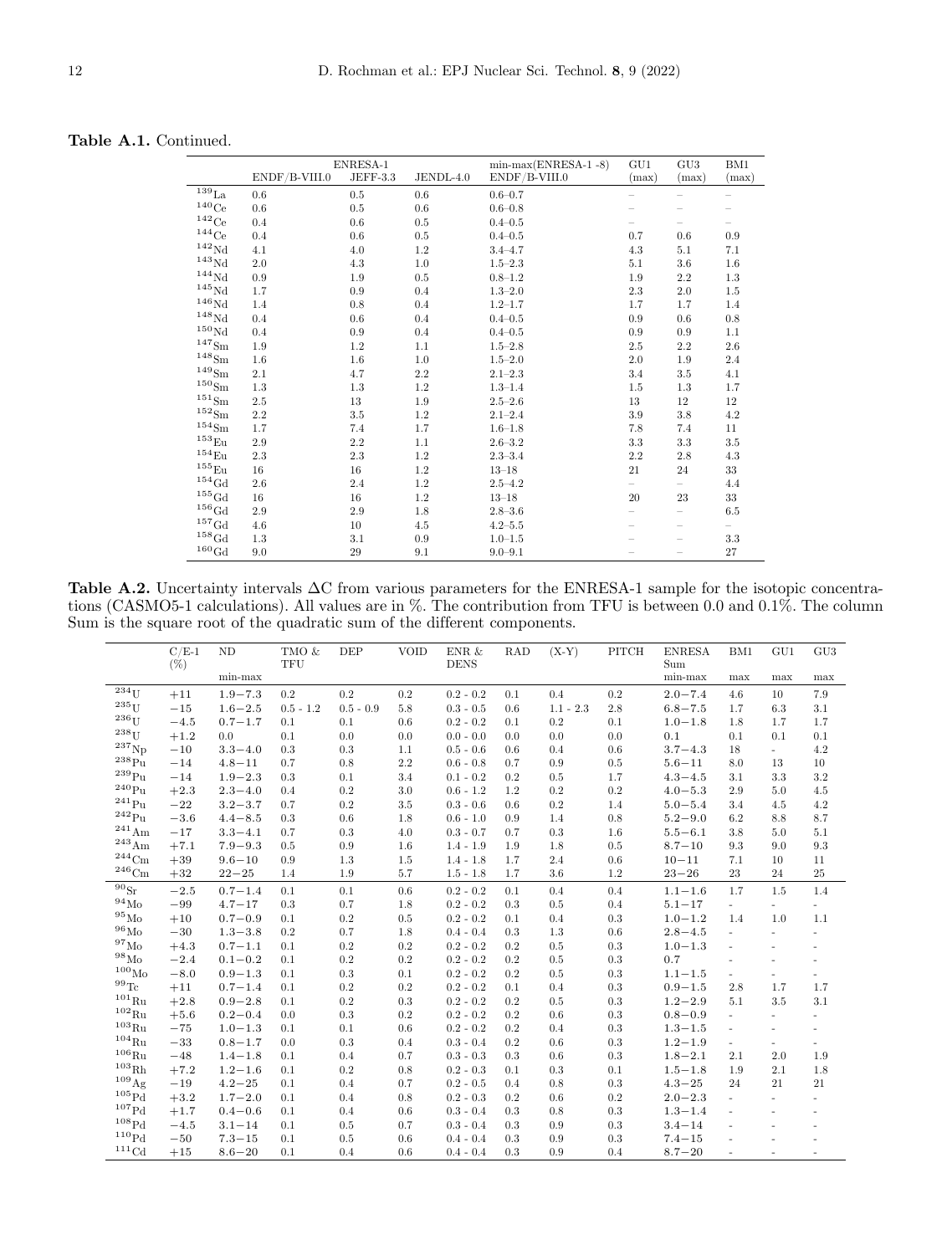<span id="page-11-0"></span>

|                              |               | ENRESA-1 |           | $min-max(ENRESA-1 - 8)$ | GU1                      | GU3     | BM1                      |
|------------------------------|---------------|----------|-----------|-------------------------|--------------------------|---------|--------------------------|
|                              | ENDF/B-VIII.0 | JEFF-3.3 | JENDL-4.0 | $ENDF/B-VIII.0$         | (max)                    | (max)   | (max)                    |
| $\overline{^{139}}_{\rm La}$ | 0.6           | 0.5      | 0.6       | $0.6 - 0.7$             |                          |         |                          |
| $^{140}\mathrm{Ce}$          | 0.6           | 0.5      | 0.6       | $0.6 - 0.8$             |                          |         |                          |
| $^{142}\mathrm{Ce}$          | 0.4           | 0.6      | 0.5       | $0.4 - 0.5$             |                          |         |                          |
| $^{144}\mathrm{Ce}$          | 0.4           | 0.6      | 0.5       | $0.4 - 0.5$             | 0.7                      | 0.6     | 0.9                      |
| $\rm ^{142}Nd$               | 4.1           | 4.0      | 1.2       | $3.4 - 4.7$             | 4.3                      | 5.1     | 7.1                      |
| ${}^{143}\mathrm{Nd}$        | 2.0           | $4.3\,$  | 1.0       | $1.5 - 2.3$             | 5.1                      | $3.6\,$ | 1.6                      |
| ${}^{144}\mathrm{Nd}$        | 0.9           | 1.9      | 0.5       | $0.8 - 1.2$             | 1.9                      | 2.2     | 1.3                      |
| $\rm ^{145}Nd$               | 1.7           | 0.9      | 0.4       | $1.3 - 2.0$             | 2.3                      | 2.0     | 1.5                      |
| $^{146}\mbox{Nd}$            | 1.4           | 0.8      | 0.4       | $1.2 - 1.7$             | 1.7                      | 1.7     | 1.4                      |
| $^{148}\mbox{Nd}$            | 0.4           | 0.6      | 0.4       | $0.4 - 0.5$             | 0.9                      | $0.6\,$ | 0.8                      |
| $^{150}\mbox{Nd}$            | 0.4           | 0.9      | 0.4       | $0.4 - 0.5$             | 0.9                      | 0.9     | 1.1                      |
| $^{147}{\rm Sm}$             | 1.9           | 1.2      | 1.1       | $1.5 - 2.8$             | 2.5                      | 2.2     | 2.6                      |
| $^{148}{\rm Sm}$             | 1.6           | 1.6      | 1.0       | $1.5 - 2.0$             | 2.0                      | 1.9     | 2.4                      |
| $^{149}{\rm Sm}$             | 2.1           | 4.7      | 2.2       | $2.1 - 2.3$             | 3.4                      | 3.5     | 4.1                      |
| $^{150}\mathrm{Sm}$          | 1.3           | $1.3\,$  | 1.2       | $1.3 - 1.4$             | 1.5                      | 1.3     | 1.7                      |
| $^{151}{\rm Sm}$             | 2.5           | 13       | 1.9       | $2.5 - 2.6$             | $13\,$                   | 12      | 12                       |
| $^{152}{\rm Sm}$             | 2.2           | $3.5\,$  | 1.2       | $2.1 - 2.4$             | $3.9\,$                  | $3.8\,$ | 4.2                      |
| $^{154}{\rm Sm}$             | 1.7           | 7.4      | 1.7       | $1.6 - 1.8$             | 7.8                      | 7.4     | 11                       |
| $^{153}\mathrm{Eu}$          | 2.9           | $2.2\,$  | 1.1       | $2.6 - 3.2$             | $3.3\,$                  | $3.3\,$ | $3.5\,$                  |
| $^{154}\mathrm{Eu}$          | 2.3           | 2.3      | 1.2       | $2.3 - 3.4$             | 2.2                      | $2.8\,$ | 4.3                      |
| $^{155}\mathrm{Eu}$          | 16            | 16       | 1.2       | $13 - 18$               | 21                       | 24      | 33                       |
| $^{154}\mathrm{Gd}$          | 2.6           | 2.4      | 1.2       | $2.5 - 4.2$             | $\overline{\phantom{0}}$ |         | 4.4                      |
| $^{155}\mathrm{Gd}$          | 16            | 16       | 1.2       | $13 - 18$               | 20                       | 23      | $33\,$                   |
| $^{156}\mathrm{Gd}$          | 2.9           | 2.9      | 1.8       | $2.8 - 3.6$             |                          |         | 6.5                      |
| $^{157}\mathrm{Gd}$          | 4.6           | 10       | 4.5       | $4.2 - 5.5$             |                          |         | $\overline{\phantom{0}}$ |
| $^{158}\mathrm{Gd}$          | 1.3           | 3.1      | 0.9       | $1.0 - 1.5$             |                          |         | 3.3                      |
| $^{160}\mbox{Gd}$            | 9.0           | 29       | 9.1       | $9.0 - 9.1$             |                          |         | 27                       |

Table A.2. Uncertainty intervals ∆C from various parameters for the ENRESA-1 sample for the isotopic concentrations (CASMO5-1 calculations). All values are in %. The contribution from TFU is between 0.0 and 0.1%. The column Sum is the square root of the quadratic sum of the different components.

|                             | $C/E-1$<br>$(\%)$ | ND          | TMO &<br>TFU | DEP         | <b>VOID</b> | ENR $\&$<br><b>DENS</b> | <b>RAD</b> | $(X-Y)$     | PITCH   | <b>ENRESA</b><br>Sum | BM1                      | GU1                      | GU3                      |
|-----------------------------|-------------------|-------------|--------------|-------------|-------------|-------------------------|------------|-------------|---------|----------------------|--------------------------|--------------------------|--------------------------|
|                             |                   | min-max     |              |             |             |                         |            |             |         | $min-max$            | max                      | max                      | max                      |
| $234$ U                     | $+11$             | $1.9 - 7.3$ | 0.2          | 0.2         | 0.2         | $0.2 - 0.2$             | 0.1        | 0.4         | 0.2     | $2.0 - 7.4$          | 4.6                      | 10                       | 7.9                      |
| $235$ <sub>IJ</sub>         | $-15$             | $1.6 - 2.5$ | $0.5 - 1.2$  | $0.5 - 0.9$ | 5.8         | $0.3 - 0.5$             | 0.6        | $1.1 - 2.3$ | 2.8     | $6.8 - 7.5$          | 1.7                      | $6.3\,$                  | 3.1                      |
| 23611                       | $-4.5$            | $0.7 - 1.7$ | 0.1          | 0.1         | 0.6         | $0.2 - 0.2$             | 0.1        | 0.2         | 0.1     | $1.0 - 1.8$          | 1.8                      | 1.7                      | 1.7                      |
| $238$ <sup>T</sup>          | $+1.2$            | 0.0         | 0.1          | 0.0         | 0.0         | $0.0 - 0.0$             | 0.0        | 0.0         | 0.0     | 0.1                  | 0.1                      | 0.1                      | 0.1                      |
| $^{237}\mathrm{Np}$         | $-10$             | $3.3 - 4.0$ | 0.3          | 0.3         | 1.1         | $0.5 - 0.6$             | 0.6        | 0.4         | 0.6     | $3.7 - 4.3$          | 18                       | ÷.                       | 4.2                      |
| $\rm ^{238}Pu$              | $-14$             | $4.8 - 11$  | 0.7          | $0.8\,$     | 2.2         | $0.6 - 0.8$             | 0.7        | 0.9         | 0.5     | $5.6 - 11$           | 8.0                      | 13                       | $10\,$                   |
| $^{239}\rm{Pu}$             | $-14$             | $1.9 - 2.3$ | 0.3          | 0.1         | 3.4         | $0.1 - 0.2$             | 0.2        | 0.5         | 1.7     | $4.3 - 4.5$          | 3.1                      | 3.3                      | 3.2                      |
| $^{240}\rm{Pu}$             | $+2.3$            | $2.3 - 4.0$ | 0.4          | 0.2         | 3.0         | $0.6 - 1.2$             | 1.2        | 0.2         | 0.2     | $4.0 - 5.3$          | 2.9                      | 5.0                      | 4.5                      |
| $^{241}P_{11}$              | $-22$             | $3.2 - 3.7$ | 0.7          | $\rm 0.2$   | 3.5         | $0.3 - 0.6$             | 0.6        | 0.2         | 1.4     | $5.0 - 5.4$          | 3.4                      | 4.5                      | 4.2                      |
| $^{242}Pu$                  | $-3.6$            | $4.4 - 8.5$ | 0.3          | 0.6         | 1.8         | $0.6 - 1.0$             | 0.9        | 1.4         | 0.8     | $5.2 - 9.0$          | 6.2                      | 8.8                      | 8.7                      |
| $^{241}$ Am                 | $-17$             | $3.3 - 4.1$ | 0.7          | 0.3         | 4.0         | $0.3 - 0.7$             | 0.7        | 0.3         | 1.6     | $5.5 - 6.1$          | 3.8                      | 5.0                      | 5.1                      |
| $^{243}\mathrm{Am}$         | $+7.1$            | $7.9 - 9.3$ | 0.5          | $0.9\,$     | 1.6         | $1.4 - 1.9$             | 1.9        | 1.8         | 0.5     | $8.7 - 10$           | 9.3                      | 9.0                      | $9.3\,$                  |
| $^{244}\mathrm{Cm}$         | $+39$             | $9.6 - 10$  | 0.9          | 1.3         | 1.5         | $1.4 - 1.8$             | 1.7        | 2.4         | 0.6     | $10 - 11$            | 7.1                      | 10                       | 11                       |
| $^{246}\mathrm{Cm}$         | $+32$             | $22 - 25$   | 1.4          | 1.9         | 5.7         | $1.5 - 1.8$             | 1.7        | 3.6         | $1.2\,$ | $23 - 26$            | 23                       | 24                       | 25                       |
| $\overline{{}^{90}\rm{Sr}}$ | $-2.5$            | $0.7 - 1.4$ | 0.1          | 0.1         | 0.6         | $0.2 - 0.2$             | 0.1        | 0.4         | 0.4     | $1.1 - 1.6$          | 1.7                      | 1.5                      | 1.4                      |
| $^{94}\rm{Mo}$              | $-99$             | $4.7 - 17$  | 0.3          | 0.7         | 1.8         | $0.2 - 0.2$             | 0.3        | 0.5         | 0.4     | $5.1 - 17$           | $\overline{\phantom{a}}$ | $\overline{\phantom{a}}$ | $\overline{\phantom{a}}$ |
| $^{95}\rm{Mo}$              | $+10$             | $0.7 - 0.9$ | 0.1          | 0.2         | 0.5         | $0.2 - 0.2$             | 0.1        | 0.4         | 0.3     | $1.0 - 1.2$          | 1.4                      | 1.0                      | 1.1                      |
| $^{96}$ Mo                  | $-30$             | $1.3 - 3.8$ | 0.2          | 0.7         | 1.8         | $0.4 - 0.4$             | 0.3        | 1.3         | 0.6     | $2.8 - 4.5$          | $\bar{a}$                | $\overline{\phantom{a}}$ | $\overline{\phantom{a}}$ |
| $^{97}$ Mo                  | $+4.3$            | $0.7 - 1.1$ | 0.1          | $0.2\,$     | 0.2         | $0.2 - 0.2$             | 0.2        | 0.5         | 0.3     | $1.0 - 1.3$          | $\overline{\phantom{a}}$ | $\frac{1}{2}$            | $\overline{\phantom{a}}$ |
| $^{98}$ Mo                  | $-2.4$            | $0.1 - 0.2$ | 0.1          | $\rm 0.2$   | 0.2         | $0.2 - 0.2$             | 0.2        | 0.5         | 0.3     | 0.7                  | $\overline{\phantom{a}}$ | $\frac{1}{2}$            | ÷,                       |
| $^{100}\rm{Mo}$             | $-8.0$            | $0.9 - 1.3$ | 0.1          | $\rm 0.3$   | 0.1         | $0.2 - 0.2$             | 0.2        | 0.5         | 0.3     | $1.1 - 1.5$          | $\overline{a}$           | ä,                       |                          |
| $^{99}\mathrm{Te}$          | $+11$             | $0.7 - 1.4$ | 0.1          | $0.2\,$     | 0.2         | $0.2 - 0.2$             | 0.1        | 0.4         | 0.3     | $0.9 - 1.5$          | 2.8                      | 1.7                      | 1.7                      |
| $101_{\rm Ru}$              | $+2.8$            | $0.9 - 2.8$ | 0.1          | $\rm 0.2$   | 0.3         | $0.2 - 0.2$             | 0.2        | 0.5         | 0.3     | $1.2 - 2.9$          | 5.1                      | 3.5                      | 3.1                      |
| $102_{\text{Ru}}$           | $+5.6$            | $0.2 - 0.4$ | 0.0          | $\rm 0.3$   | 0.2         | $0.2 - 0.2$             | 0.2        | 0.6         | 0.3     | $0.8 - 0.9$          | ÷.                       | $\overline{\phantom{m}}$ | ÷,                       |
| $103_{\text{Ru}}$           | $-75$             | $1.0 - 1.3$ | 0.1          | 0.1         | 0.6         | $0.2 - 0.2$             | 0.2        | 0.4         | 0.3     | $1.3 - 1.5$          | ÷.                       | $\frac{1}{2}$            | ÷,                       |
| $104_{\text{Ru}}$           | $-33$             | $0.8 - 1.7$ | 0.0          | 0.3         | 0.4         | $0.3 - 0.4$             | 0.2        | 0.6         | 0.3     | $1.2 - 1.9$          | $\overline{a}$           | ä,                       |                          |
| $106_{\text{Ru}}$           | $-48$             | $1.4 - 1.8$ | 0.1          | 0.4         | 0.7         | $0.3 - 0.3$             | 0.3        | 0.6         | 0.3     | $1.8 - 2.1$          | 2.1                      | 2.0                      | 1.9                      |
| 103Rh                       | $+7.2$            | $1.2 - 1.6$ | 0.1          | $\rm 0.2$   | 0.8         | $0.2 - 0.3$             | 0.1        | 0.3         | 0.1     | $1.5 - 1.8$          | 1.9                      | 2.1                      | 1.8                      |
| $^{109}\mathrm{Ag}$         | $-19$             | $4.2 - 25$  | 0.1          | 0.4         | 0.7         | $0.2 - 0.5$             | 0.4        | 0.8         | 0.3     | $4.3 - 25$           | 24                       | 21                       | 21                       |
| $105\overline{\mathrm{Pd}}$ | $+3.2$            | $1.7 - 2.0$ | 0.1          | 0.4         | 0.8         | $0.2 - 0.3$             | 0.2        | 0.6         | 0.2     | $2.0 - 2.3$          | $\bar{a}$                | $\frac{1}{2}$            | ÷,                       |
| 107P <sub>d</sub>           | $+1.7$            | $0.4 - 0.6$ | 0.1          | 0.4         | 0.6         | $0.3 - 0.4$             | 0.3        | 0.8         | 0.3     | $1.3 - 1.4$          | ٠                        | ÷.                       | ä,                       |
| 108P <sub>d</sub>           | $-4.5$            | $3.1 - 14$  | 0.1          | $0.5\,$     | 0.7         | $0.3 - 0.4$             | 0.3        | 0.9         | 0.3     | $3.4 - 14$           |                          | ä,                       | ÷,                       |
| 110P <sub>d</sub>           | $-50$             | $7.3 - 15$  | 0.1          | 0.5         | 0.6         | $0.4 - 0.4$             | 0.3        | 0.9         | 0.3     | $7.4 - 15$           |                          |                          |                          |
| $111 \text{Cd}$             | $+15$             | $8.6 - 20$  | 0.1          | 0.4         | 0.6         | $0.4 - 0.4$             | 0.3        | 0.9         | 0.4     | $8.7 - 20$           |                          | ä,                       | ä,                       |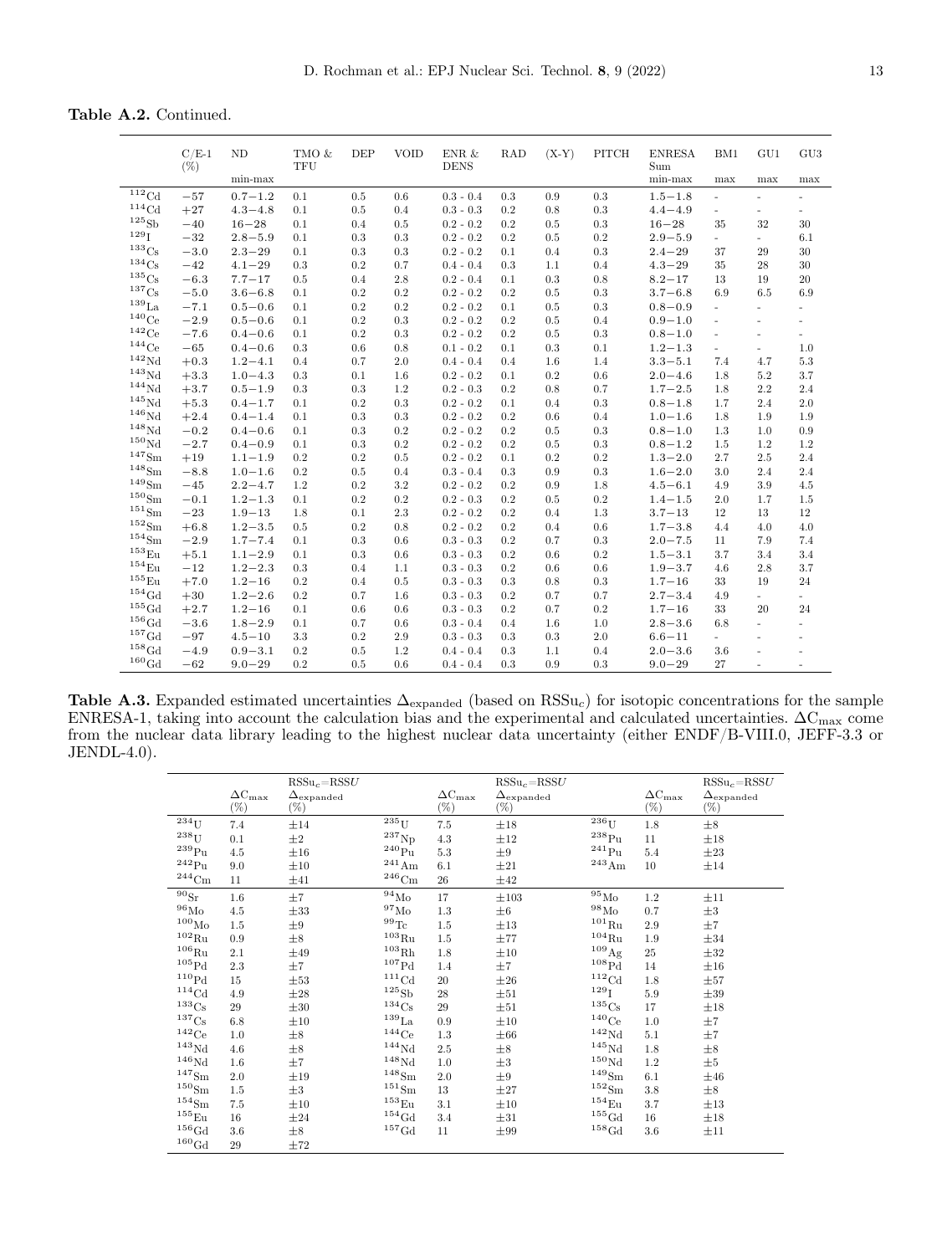**Table A.2.** Continued.

<span id="page-12-0"></span>

|                              | $C/E-1$<br>$(\%)$ | <b>ND</b>   | TMO &<br>TFU | <b>DEP</b> | <b>VOID</b> | ENR $\&$<br><b>DENS</b> | <b>RAD</b> | $(X-Y)$ | PITCH     | <b>ENRESA</b><br>Sum | BM1                      | GU1                      | GU <sub>3</sub>          |
|------------------------------|-------------------|-------------|--------------|------------|-------------|-------------------------|------------|---------|-----------|----------------------|--------------------------|--------------------------|--------------------------|
|                              |                   | $min-max$   |              |            |             |                         |            |         |           | $min-max$            | max                      | max                      | max                      |
| $\overline{^{112}}\text{Cd}$ | $-57$             | $0.7 - 1.2$ | 0.1          | 0.5        | 0.6         | $0.3 - 0.4$             | 0.3        | 0.9     | 0.3       | $1.5 - 1.8$          | $\omega$                 | $\sim$                   | $\overline{\phantom{0}}$ |
| ${}^{114}\mathrm{Cd}$        | $+27$             | $4.3 - 4.8$ | 0.1          | 0.5        | 0.4         | $0.3 - 0.3$             | 0.2        | 0.8     | 0.3       | $4.4 - 4.9$          | $\sim$                   | $\overline{\phantom{a}}$ | $\overline{a}$           |
| $^{125}\mathrm{Sb}$          | $-40$             | $16 - 28$   | 0.1          | 0.4        | 0.5         | $0.2 - 0.2$             | 0.2        | 0.5     | 0.3       | $16 - 28$            | 35                       | 32                       | 30                       |
| 129 <sub>1</sub>             | $-32$             | $2.8 - 5.9$ | 0.1          | 0.3        | 0.3         | $0.2 - 0.2$             | 0.2        | 0.5     | 0.2       | $2.9 - 5.9$          | $\overline{\phantom{a}}$ | н.                       | 6.1                      |
| $^{133}\mathrm{Cs}$          | $-3.0$            | $2.3 - 29$  | 0.1          | 0.3        | 0.3         | $0.2 - 0.2$             | 0.1        | 0.4     | 0.3       | $2.4 - 29$           | 37                       | 29                       | 30                       |
| $^{134}\mathrm{Cs}$          | $-42$             | $4.1 - 29$  | 0.3          | 0.2        | 0.7         | $0.4 - 0.4$             | 0.3        | 1.1     | 0.4       | $4.3 - 29$           | 35                       | 28                       | 30                       |
| 135 <sub>Cs</sub>            | $-6.3$            | $7.7 - 17$  | 0.5          | 0.4        | 2.8         | $0.2 - 0.4$             | 0.1        | 0.3     | 0.8       | $8.2 - 17$           | 13                       | 19                       | 20                       |
| $^{137}\mathrm{Cs}$          | $-5.0$            | $3.6 - 6.8$ | 0.1          | 0.2        | 0.2         | $0.2 - 0.2$             | 0.2        | 0.5     | $\rm 0.3$ | $3.7 - 6.8$          | 6.9                      | 6.5                      | 6.9                      |
| $139$ La                     | $-7.1$            | $0.5 - 0.6$ | 0.1          | 0.2        | 0.2         | $0.2 - 0.2$             | 0.1        | 0.5     | $\rm 0.3$ | $0.8 - 0.9$          | $\omega$                 | $\overline{\phantom{a}}$ | $\overline{\phantom{0}}$ |
| $140$ Ce                     | $-2.9$            | $0.5 - 0.6$ | 0.1          | 0.2        | 0.3         | $0.2 - 0.2$             | 0.2        | 0.5     | 0.4       | $0.9 - 1.0$          | $\sim$                   | $\bar{a}$                | $\overline{\phantom{a}}$ |
| $\rm ^{142}Ce$               | $-7.6$            | $0.4 - 0.6$ | 0.1          | 0.2        | 0.3         | $0.2 - 0.2$             | 0.2        | 0.5     | 0.3       | $0.8 - 1.0$          | $\sim$                   | ×.                       | ÷.                       |
| $144C$ e                     | $-65$             | $0.4 - 0.6$ | 0.3          | 0.6        | 0.8         | $0.1 - 0.2$             | 0.1        | 0.3     | 0.1       | $1.2 - 1.3$          | $\overline{\phantom{a}}$ | ÷.                       | 1.0                      |
| $\rm ^{142}Nd$               | $+0.3$            | $1.2 - 4.1$ | 0.4          | 0.7        | 2.0         | $0.4 - 0.4$             | 0.4        | 1.6     | 1.4       | $3.3 - 5.1$          | 7.4                      | 4.7                      | $5.3\,$                  |
| $143$ Nd                     | $+3.3$            | $1.0 - 4.3$ | 0.3          | 0.1        | 1.6         | $0.2 - 0.2$             | 0.1        | 0.2     | 0.6       | $2.0 - 4.6$          | 1.8                      | 5.2                      | 3.7                      |
| $144$ Nd                     | $+3.7$            | $0.5 - 1.9$ | 0.3          | 0.3        | 1.2         | $0.2 - 0.3$             | 0.2        | 0.8     | 0.7       | $1.7 - 2.5$          | 1.8                      | 2.2                      | 2.4                      |
| $145$ Nd                     | $+5.3$            | $0.4 - 1.7$ | 0.1          | 0.2        | 0.3         | $0.2 - 0.2$             | 0.1        | 0.4     | 0.3       | $0.8 - 1.8$          | 1.7                      | 2.4                      | 2.0                      |
| $146$ Nd                     | $+2.4$            | $0.4 - 1.4$ | 0.1          | 0.3        | 0.3         | $0.2 - 0.2$             | 0.2        | 0.6     | 0.4       | $1.0 - 1.6$          | 1.8                      | 1.9                      | 1.9                      |
| $^{148}\mbox{Nd}$            | $-0.2$            | $0.4 - 0.6$ | 0.1          | 0.3        | 0.2         | $0.2 - 0.2$             | 0.2        | 0.5     | 0.3       | $0.8 - 1.0$          | 1.3                      | 1.0                      | 0.9                      |
| $150$ Nd                     | $-2.7$            | $0.4 - 0.9$ | 0.1          | 0.3        | 0.2         | $0.2 - 0.2$             | 0.2        | 0.5     | 0.3       | $0.8 - 1.2$          | 1.5                      | 1.2                      | 1.2                      |
| $^{147}{\rm Sm}$             | $+19$             | $1.1 - 1.9$ | 0.2          | 0.2        | 0.5         | $0.2 - 0.2$             | 0.1        | 0.2     | 0.2       | $1.3 - 2.0$          | 2.7                      | 2.5                      | 2.4                      |
| $^{148}{\rm Sm}$             | $-8.8$            | $1.0 - 1.6$ | 0.2          | 0.5        | 0.4         | $0.3 - 0.4$             | 0.3        | 0.9     | $\rm 0.3$ | $1.6 - 2.0$          | 3.0                      | 2.4                      | 2.4                      |
| 149 <sub>Sm</sub>            | $-45$             | $2.2 - 4.7$ | 1.2          | 0.2        | 3.2         | $0.2 - 0.2$             | 0.2        | 0.9     | $1.8\,$   | $4.5 - 6.1$          | 4.9                      | 3.9                      | $4.5\,$                  |
| 150 <sub>Sm</sub>            | $-0.1$            | $1.2 - 1.3$ | 0.1          | 0.2        | 0.2         | $0.2 - 0.3$             | 0.2        | 0.5     | $0.2\,$   | $1.4 - 1.5$          | 2.0                      | 1.7                      | $1.5\,$                  |
| 151 <sub>Sm</sub>            | $-23$             | $1.9 - 13$  | 1.8          | 0.1        | 2.3         | $0.2 - 0.2$             | 0.2        | 0.4     | 1.3       | $3.7 - 13$           | 12                       | 13                       | 12                       |
| 152 <sub>Sm</sub>            | $+6.8$            | $1.2 - 3.5$ | 0.5          | 0.2        | 0.8         | $0.2 - 0.2$             | 0.2        | 0.4     | 0.6       | $1.7 - 3.8$          | 4.4                      | 4.0                      | 4.0                      |
| $154$ Sm                     | $-2.9$            | $1.7 - 7.4$ | 0.1          | 0.3        | 0.6         | $0.3 - 0.3$             | 0.2        | 0.7     | 0.3       | $2.0 - 7.5$          | 11                       | 7.9                      | 7.4                      |
| $153_{\rm Eu}$               | $+5.1$            | $1.1 - 2.9$ | 0.1          | 0.3        | 0.6         | $0.3 - 0.3$             | 0.2        | 0.6     | 0.2       | $1.5 - 3.1$          | 3.7                      | 3.4                      | 3.4                      |
| $154_{\text{Eu}}$            | $-12$             | $1.2 - 2.3$ | 0.3          | 0.4        | 1.1         | $0.3 - 0.3$             | 0.2        | 0.6     | 0.6       | $1.9 - 3.7$          | 4.6                      | 2.8                      | 3.7                      |
| $155_{\rm Eu}$               | $+7.0$            | $1.2 - 16$  | 0.2          | 0.4        | 0.5         | $0.3 - 0.3$             | 0.3        | 0.8     | 0.3       | $1.7 - 16$           | 33                       | 19                       | 24                       |
| $154$ Gd                     | $+30$             | $1.2 - 2.6$ | 0.2          | 0.7        | 1.6         | $0.3 - 0.3$             | 0.2        | 0.7     | 0.7       | $2.7 - 3.4$          | 4.9                      | $\sim$                   | $\frac{1}{2}$            |
| $155 \text{Gd}$              | $+2.7$            | $1.2 - 16$  | 0.1          | 0.6        | 0.6         | $0.3 - 0.3$             | 0.2        | 0.7     | 0.2       | $1.7 - 16$           | 33                       | 20                       | 24                       |
| $^{156}\mathrm{Gd}$          | $-3.6$            | $1.8 - 2.9$ | 0.1          | 0.7        | 0.6         | $0.3 - 0.4$             | 0.4        | 1.6     | 1.0       | $2.8 - 3.6$          | 6.8                      | ÷.                       | $\overline{\phantom{a}}$ |
| $^{157}\mathrm{Gd}$          | $-97$             | $4.5 - 10$  | 3.3          | 0.2        | 2.9         | $0.3 - 0.3$             | 0.3        | 0.3     | 2.0       | $6.6 - 11$           | $\overline{\phantom{a}}$ | ٠                        | ÷,                       |
| $158$ Gd                     | $-4.9$            | $0.9 - 3.1$ | 0.2          | 0.5        | 1.2         | $0.4 - 0.4$             | 0.3        | 1.1     | 0.4       | $2.0 - 3.6$          | 3.6                      | ä,                       |                          |
| $^{160}\mbox{Gd}$            | $-62$             | $9.0 - 29$  | 0.2          | 0.5        | 0.6         | $0.4 - 0.4$             | 0.3        | 0.9     | 0.3       | $9.0 - 29$           | 27                       | ä,                       | $\overline{\phantom{a}}$ |

**Table A.3.** Expanded estimated uncertainties  $\Delta_{\text{expanded}}$  (based on RSSu<sub>c</sub>) for isotopic concentrations for the sample ENRESA-1, taking into account the calculation bias and the experimental and calculated uncertainties.  $\Delta C_{\text{max}}$  come from the nuclear data library leading to the highest nuclear data uncertainty (either ENDF/B-VIII.0, JEFF-3.3 or JENDL-4.0).

<span id="page-12-1"></span>

|                               | $\Delta \rm{C}_{\rm{max}}$<br>$(\%)$ | $RSSu_c = RSSU$<br>$\Delta_{\rm expanded}$<br>$(\%)$ |                       | $\Delta \mathrm{C_{max}}$<br>$(\%)$ | $RSSu_c = RSSU$<br>$\Delta_{\rm expanded}$<br>$(\%)$ |                       | $\Delta C_{\rm max}$<br>$(\%)$ | $RSSu_c = RSSU$<br>$\Delta_{\rm expanded}$<br>$(\%)$ |
|-------------------------------|--------------------------------------|------------------------------------------------------|-----------------------|-------------------------------------|------------------------------------------------------|-----------------------|--------------------------------|------------------------------------------------------|
| $^{\overline{2}34}\mathrm{U}$ | 7.4                                  | $\pm 14$                                             | $235$ U               | 7.5                                 | $\pm 18$                                             | $236$ U               | 1.8                            | $\pm 8$                                              |
| $^{238}\mathrm{U}$            | $0.1\,$                              | $\pm 2$                                              | $^{237}\mathrm{Np}$   | $4.3\,$                             | $\pm 12$                                             | $^{238}\rm{Pu}$       | 11                             | $\pm 18$                                             |
| $^{239}\rm{Pu}$               | 4.5                                  | $\pm 16$                                             | $^{240}\rm{Pu}$       | 5.3                                 | $\pm 9$                                              | $\rm ^{241}Pu$        | 5.4                            | $\pm 23$                                             |
| $\rm ^{242}Pu$                | 9.0                                  | $\pm 10$                                             | $^{241}\mathrm{Am}$   | 6.1                                 | $\pm 21$                                             | $^{243}\mathrm{Am}$   | 10                             | $\pm 14$                                             |
| $^{244}\mathrm{Cm}$           | 11                                   | $\pm 41$                                             | $^{246}\mathrm{Cm}$   | 26                                  | $\pm 42$                                             |                       |                                |                                                      |
| $90S_r$                       | $1.6\,$                              | ±7                                                   | $^{94}\mbox{Mo}$      | 17                                  | $\pm 103$                                            | $\bar{^{95}}\rm{Mo}$  | 1.2                            | $\pm 11$                                             |
| $^{96}\rm{Mo}$                | 4.5                                  | $\pm 33$                                             | $^{97}\rm{Mo}$        | $1.3\,$                             | $\pm 6$                                              | $^{98}\rm{Mo}$        | 0.7                            | $\pm 3$                                              |
| $^{100}\rm{Mo}$               | 1.5                                  | $\pm 9$                                              | $^{99}\mathrm{Te}$    | $1.5\,$                             | $\pm 13$                                             | $^{101}\mathrm{Ru}$   | 2.9                            | $\pm 7$                                              |
| $^{102}\mathrm{Ru}$           | 0.9                                  | $\pm 8$                                              | $^{103}\mathrm{Ru}$   | $1.5\,$                             | $\pm 77$                                             | $^{104}\mathrm{Ru}$   | 1.9                            | $\pm 34$                                             |
| $^{106}\mathrm{Ru}$           | 2.1                                  | $\pm 49$                                             | $^{103}\mbox{Rh}$     | $1.8\,$                             | $\pm 10$                                             | $^{109}\mathrm{Ag}$   | 25                             | $\pm 32$                                             |
| $^{105}\mathrm{Pd}$           | 2.3                                  | $\pm7$                                               | $^{107}\mathrm{Pd}$   | 1.4                                 | $\pm 7$                                              | ${}^{108}\mathrm{Pd}$ | 14                             | $\pm 16$                                             |
| $\rm ^{110}Pd$                | 15                                   | $\pm 53$                                             | ${}^{111}\mathrm{Cd}$ | 20                                  | $\pm 26$                                             | ${}^{112}\mathrm{Cd}$ | 1.8                            | $\pm 57$                                             |
| ${}^{114}\mathrm{Cd}$         | 4.9                                  | $\pm 28$                                             | $^{125}\mathrm{Sb}$   | 28                                  | $\pm 51$                                             | $^{129}\mathrm{I}$    | 5.9                            | $\pm 39$                                             |
| $^{133}\mathrm{Cs}$           | 29                                   | $\pm 30$                                             | $^{134}\mathrm{Cs}$   | 29                                  | $\pm 51$                                             | $^{135}\mathrm{Cs}$   | 17                             | $\pm 18$                                             |
| $^{137}\mathrm{Cs}$           | 6.8                                  | $\pm 10$                                             | $^{139}\mathrm{La}$   | 0.9                                 | $\pm 10$                                             | $^{140}\mathrm{Ce}$   | 1.0                            | ±7                                                   |
| $\rm ^{142}Ce$                | 1.0                                  | $\pm 8$                                              | $^{144}\mathrm{Ce}$   | $1.3\,$                             | $\pm 66$                                             | $\rm ^{142}Nd$        | 5.1                            | $\pm 7$                                              |
| ${}^{143}\mathrm{Nd}$         | 4.6                                  | $\pm 8$                                              | $^{144}\mbox{Nd}$     | $2.5\,$                             | $\pm 8$                                              | $\rm ^{145}Nd$        | 1.8                            | $\pm 8$                                              |
| $\rm ^{146}Nd$                | 1.6                                  | ±7                                                   | ${}^{148}\mathrm{Nd}$ | 1.0                                 | $\pm 3$                                              | $^{150}\mbox{Nd}$     | 1.2                            | $\pm 5$                                              |
| $^{147}{\rm Sm}$              | 2.0                                  | $\pm 19$                                             | $^{148}{\rm Sm}$      | $2.0\,$                             | $\pm 9$                                              | $^{149}{\rm Sm}$      | 6.1                            | $\pm 46$                                             |
| $^{150}\mathrm{Sm}$           | 1.5                                  | $\pm 3$                                              | $^{151}{\rm Sm}$      | 13                                  | $\pm 27$                                             | $^{152}{\rm Sm}$      | $3.8\,$                        | $\pm 8$                                              |
| $^{154}{\rm Sm}$              | $7.5\,$                              | $\pm 10$                                             | $^{153}\mathrm{Eu}$   | 3.1                                 | $\pm 10$                                             | $^{154}\mathrm{Eu}$   | 3.7                            | $\pm 13$                                             |
| $^{155}\mathrm{Eu}$           | 16                                   | $\pm 24$                                             | $^{154}\mathrm{Gd}$   | 3.4                                 | $\pm 31$                                             | $^{155}\mbox{Gd}$     | 16                             | $\pm 18$                                             |
| $^{156}\mathrm{Gd}$           | $3.6\,$                              | $\pm 8$                                              | $^{157}\mathrm{Gd}$   | 11                                  | $\pm 99$                                             | $^{158}\mathrm{Gd}$   | $3.6\,$                        | $\pm 11$                                             |
| $^{160}\mbox{Gd}$             | 29                                   | $\pm 72$                                             |                       |                                     |                                                      |                       |                                |                                                      |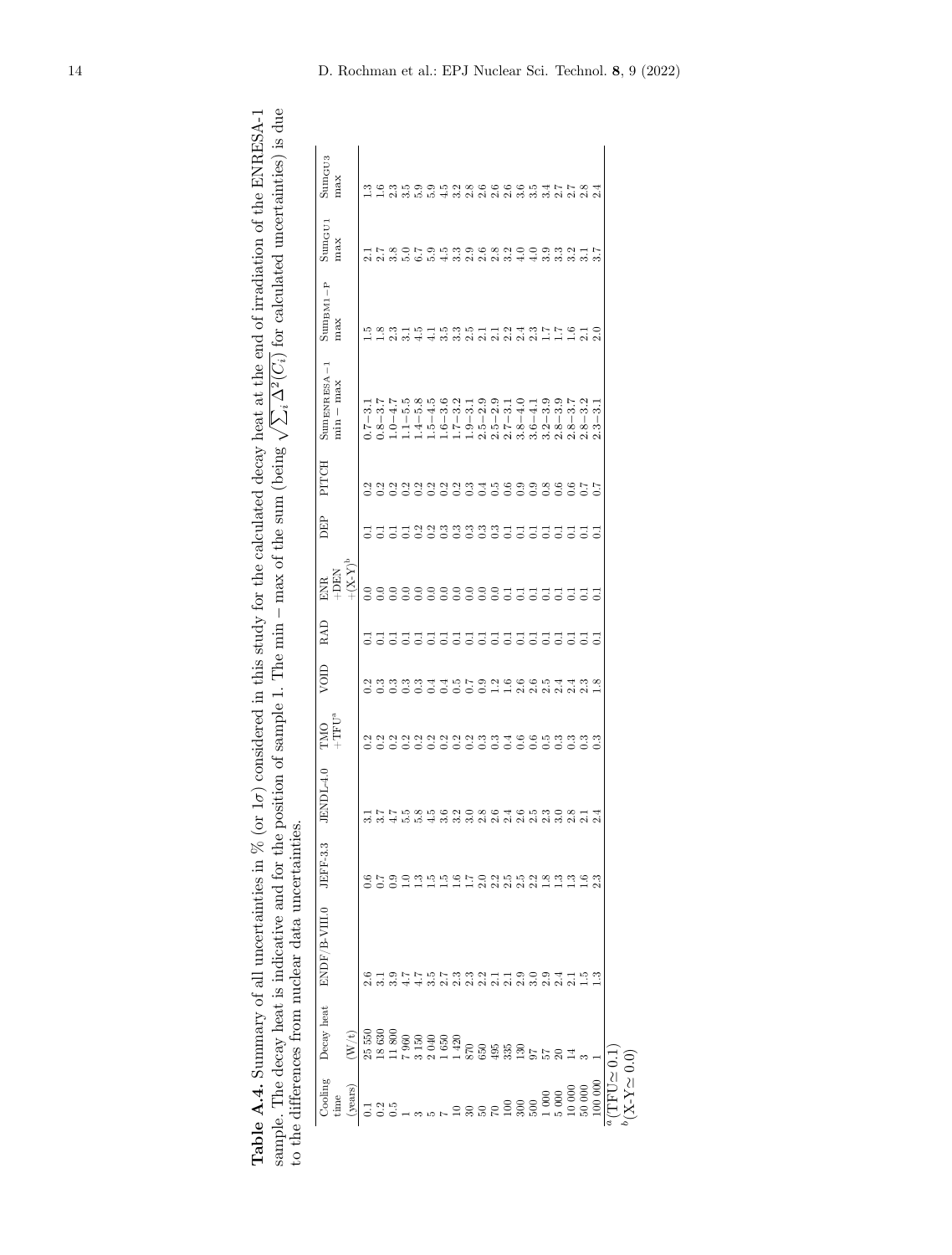<span id="page-13-0"></span>

| $\frac{1}{2}$<br>ļ                                                                   | $\leftarrow$ is due                                                                                                                  |                                |
|--------------------------------------------------------------------------------------|--------------------------------------------------------------------------------------------------------------------------------------|--------------------------------|
|                                                                                      |                                                                                                                                      |                                |
|                                                                                      |                                                                                                                                      |                                |
| L DNDDDQA 1<br>THE OTHER TO THOMAS WARRANT                                           |                                                                                                                                      |                                |
|                                                                                      |                                                                                                                                      |                                |
|                                                                                      | į                                                                                                                                    |                                |
|                                                                                      |                                                                                                                                      |                                |
|                                                                                      |                                                                                                                                      |                                |
|                                                                                      |                                                                                                                                      |                                |
|                                                                                      | $\frac{1}{2}$                                                                                                                        |                                |
|                                                                                      |                                                                                                                                      |                                |
|                                                                                      | へいく                                                                                                                                  |                                |
|                                                                                      |                                                                                                                                      |                                |
|                                                                                      | $\sim$ $\sqrt{2i}$ $\sim$ $\sim$ $i$ $\sim$ $i$ $\sim$ $i$ $\sim$ $i$ $\sim$ $i$ $\sim$ $i$<br>$\sim$ $\sim$ $\sim$<br>$\frac{1}{2}$ |                                |
| sidered in this study for the calculated decay heat at the end of irradiation of the | といいく                                                                                                                                 |                                |
|                                                                                      |                                                                                                                                      |                                |
|                                                                                      |                                                                                                                                      |                                |
|                                                                                      |                                                                                                                                      |                                |
|                                                                                      |                                                                                                                                      |                                |
|                                                                                      |                                                                                                                                      |                                |
|                                                                                      | 1. The $min - max$ of the sum (be)                                                                                                   |                                |
|                                                                                      |                                                                                                                                      |                                |
|                                                                                      | ĺ                                                                                                                                    |                                |
|                                                                                      | $\frac{1}{2}$ or $\frac{1}{2}$ and $\frac{1}{2}$ and $\frac{1}{2}$<br>nnle l                                                         |                                |
|                                                                                      |                                                                                                                                      |                                |
| $\cdots$ /0 (Or $1\sigma$ ) consider-                                                |                                                                                                                                      |                                |
|                                                                                      | $20 + 10 + 10$                                                                                                                       |                                |
|                                                                                      |                                                                                                                                      |                                |
|                                                                                      |                                                                                                                                      |                                |
| )<br>2<br>-<br>$\sim$ m $\sim$                                                       |                                                                                                                                      |                                |
|                                                                                      |                                                                                                                                      |                                |
|                                                                                      |                                                                                                                                      |                                |
|                                                                                      | $5 - 1$                                                                                                                              | 7                              |
| $\sim$ all up $\sim$                                                                 |                                                                                                                                      |                                |
|                                                                                      | in an in                                                                                                                             | contraction at a formation and |
|                                                                                      | l                                                                                                                                    |                                |
|                                                                                      |                                                                                                                                      | S<br>C<br>C<br>C               |
| ֞֓֡֓֓֓֓֓֓֓֓׆֡<br>֧֪֪                                                                 | Andoonia                                                                                                                             | i<br>1<br>1<br>1               |
|                                                                                      |                                                                                                                                      |                                |
| le A.4.                                                                              | ا<br>م                                                                                                                               |                                |
| į                                                                                    |                                                                                                                                      |                                |
|                                                                                      |                                                                                                                                      |                                |

| あいのののののの<br>あるののははあれののあおるのでかかれ。<br>おいのののののの                                    |                   | $+{\rm TFU^a}$ |                                  | RAD             | $\mathop{+} (X\text{-}\mathrm{X})^\mathrm{b}$<br>$+DBIN$<br><b>ENR</b> | DEP               | PITCH | $SumENRESA-1$<br>$min - max$                                    | $\operatorname{SumBM1-P}$<br>max | $Sum_{GU1}$<br>max | SumGU3<br>max           |
|--------------------------------------------------------------------------------|-------------------|----------------|----------------------------------|-----------------|------------------------------------------------------------------------|-------------------|-------|-----------------------------------------------------------------|----------------------------------|--------------------|-------------------------|
|                                                                                |                   |                |                                  |                 |                                                                        |                   |       | $\dot{\circ}$<br>$-2.0$                                         | ≌                                |                    |                         |
|                                                                                |                   |                |                                  |                 |                                                                        |                   |       | $0.8 - 3.7$<br>1.0-4.7                                          | $\frac{8}{1}$                    |                    |                         |
|                                                                                |                   |                |                                  |                 |                                                                        |                   |       |                                                                 | 2.3                              |                    |                         |
|                                                                                | 5.5               |                | angganggung<br>Ngonong           | $\Xi$ $\Xi$     |                                                                        | 55588999995555555 |       | 5.5<br>$1.1 - 5$                                                | 3.1                              |                    |                         |
|                                                                                | 5.8               |                |                                  |                 |                                                                        |                   |       | $1.4 - 5.8$                                                     | 4.5                              |                    |                         |
|                                                                                | 4.5               |                |                                  | Ξ               |                                                                        |                   |       | $1.5 - 4.5$                                                     |                                  |                    | 5.9                     |
|                                                                                | 3.6               |                |                                  |                 |                                                                        |                   |       | 3.6<br>$-9.1$                                                   | $3.\overline{5}$                 |                    | 4.5                     |
|                                                                                | 3.2               |                |                                  |                 |                                                                        |                   |       | 3.2<br>$1.7 - 3$                                                | 3.3                              | 3.3                | 3.2                     |
|                                                                                | 3.0               |                |                                  |                 |                                                                        |                   |       | $\overline{3}$ . 1<br>$1.9 -$                                   | 2.5                              | 2.9                | 2.8                     |
| n n n g r o g n n n g g g n<br>H H H H H G G G G G G H H<br>7573321190941 うっこう | $\frac{2.8}{2.6}$ |                |                                  | 33333           |                                                                        |                   |       | 2.9<br>Ċ                                                        | 2.1                              | 2.6                | 2.6                     |
|                                                                                |                   |                |                                  |                 |                                                                        |                   |       | 2.9<br>5<br>Ĵ<br>C                                              | 2.1                              | 2.8                | 2.6                     |
|                                                                                | 2.4               |                | $1.2$<br>$\_$ $\_$               | $\Xi$ $\Xi$     |                                                                        |                   |       | $\frac{1}{3}$<br>$\begin{array}{c} \end{array}$<br>7.<br>j<br>¢ | 2.2                              | 3.2                | 2.6                     |
|                                                                                | 2.6               |                |                                  |                 |                                                                        |                   |       | $-4.0$<br>$\infty$<br>က်                                        | 2.4                              | $\ddot{=}$         | 3.6                     |
|                                                                                | 2.5               |                |                                  | $\overline{55}$ |                                                                        |                   |       | $-4.1$<br>G<br>က်                                               | 2.3                              | 4.0                | $3.\overline{5}$        |
|                                                                                | 2.3               |                |                                  |                 |                                                                        |                   |       | 3.9<br>$\mathbf{\Omega}$<br>က်                                  | Ξ                                | 3.9                | 3.4                     |
|                                                                                | 3.0               |                |                                  |                 |                                                                        |                   |       | 3.9<br>${}^{\circ}$<br>¢                                        | Ξ                                | 3.3                | $\sim$                  |
|                                                                                | 2.8               |                | c c c n d d c<br>C c c c c c c c |                 |                                                                        |                   |       | 3.7<br>${}^{\circ}$<br>Ċ                                        | $\frac{6}{1}$                    | 3.2                | $\overline{\mathbf{c}}$ |
|                                                                                | 2.1               |                |                                  |                 |                                                                        |                   |       | N<br>ကဲ<br>${}^{\circ}$<br>Ċ                                    | $\frac{1}{2.0}$                  |                    | C.                      |
| ≌                                                                              | $^{24}$           |                | $\frac{8}{1}$                    |                 | Ξ                                                                      | 궁                 |       | ಣ<br>S<br>۵İ                                                    |                                  | r,<br>က်           | C.                      |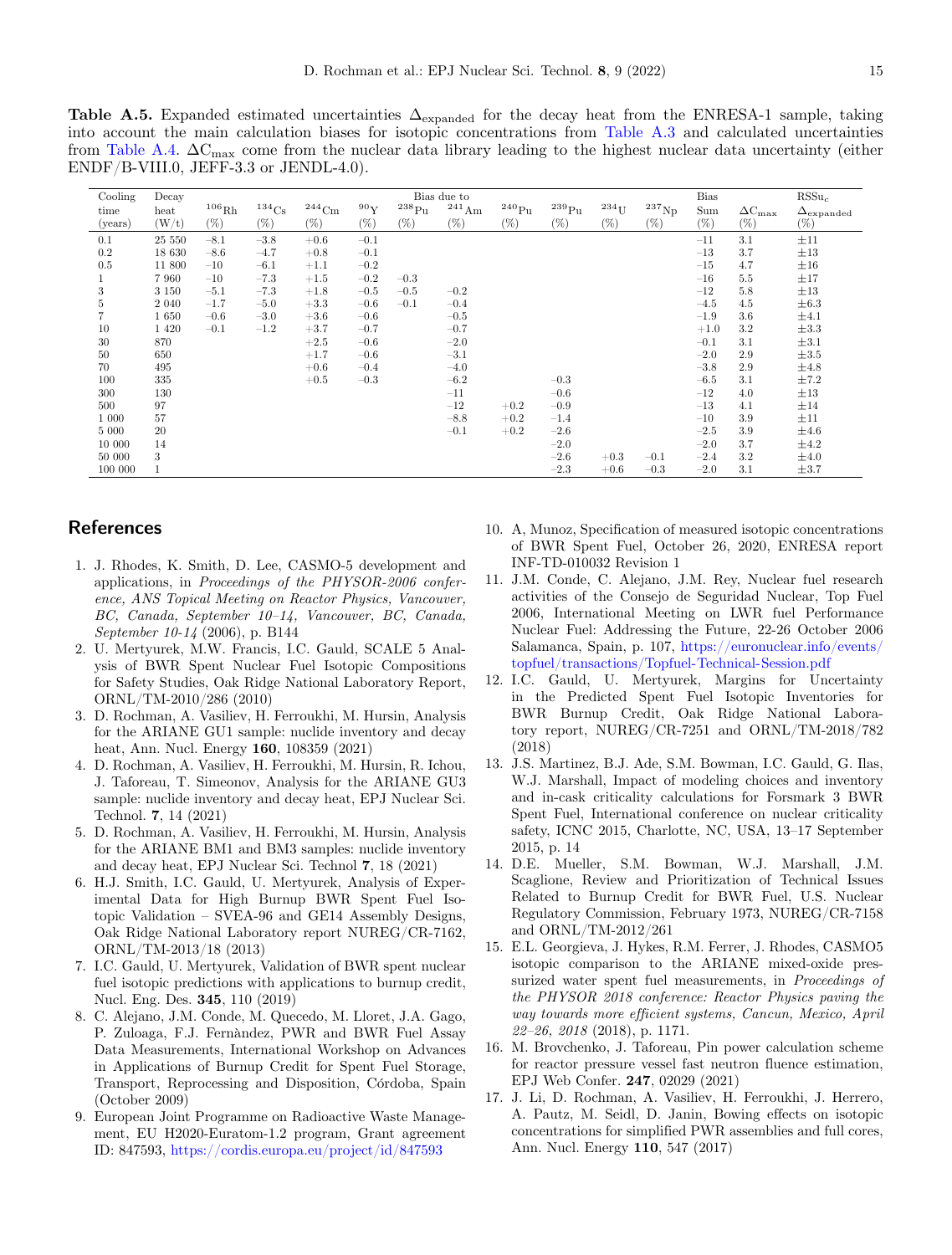<span id="page-14-16"></span>**Table A.5.** Expanded estimated uncertainties  $\Delta_{\text{expanded}}$  for the decay heat from the ENRESA-1 sample, taking into account the main calculation biases for isotopic concentrations from [Table A.3](#page-12-1) and calculated uncertainties from [Table A.4.](#page-13-0)  $\Delta C_{\text{max}}$  come from the nuclear data library leading to the highest nuclear data uncertainty (either ENDF/B-VIII.0, JEFF-3.3 or JENDL-4.0).

| Cooling | Decay            |        |                   |          |        |            | Bias due to |                     |                     |                    |                     | <b>Bias</b> |                      | $RSSu_c$                |
|---------|------------------|--------|-------------------|----------|--------|------------|-------------|---------------------|---------------------|--------------------|---------------------|-------------|----------------------|-------------------------|
| time    | $_{\text{heat}}$ | 106Rh  | 134C <sub>S</sub> | $244$ Cm | 90Y    | $^{238}Pu$ | $^{241}$ Am | $^{240}\mathrm{Pu}$ | $^{239}\mathrm{Pu}$ | $234$ <sub>U</sub> | $^{237}\mathrm{Np}$ | Sum         | $\Delta C_{\rm max}$ | $\Delta_{\rm expanded}$ |
| (years) | (W/t)            | $(\%)$ | $(\%)$            | $(\%)$   | $(\%)$ | $(\%)$     | $(\%)$      | $(\%)$              | $(\%)$              | $(\%)$             | $(\%)$              | $(\%)$      | $(\%)$               | $(\%)$                  |
| 0.1     | 25 550           | $-8.1$ | $-3.8$            | $+0.6$   | $-0.1$ |            |             |                     |                     |                    |                     | $-11$       | 3.1                  | ±11                     |
| 0.2     | 18 630           | $-8.6$ | $-4.7$            | $+0.8$   | $-0.1$ |            |             |                     |                     |                    |                     | $-13$       | 3.7                  | $\pm 13$                |
| 0.5     | 11 800           | $-10$  | $-6.1$            | $+1.1$   | $-0.2$ |            |             |                     |                     |                    |                     | $-15$       | 4.7                  | $\pm 16$                |
|         | 7 9 6 0          | $-10$  | $-7.3$            | $+1.5$   | $-0.2$ | $-0.3$     |             |                     |                     |                    |                     | $-16$       | 5.5                  | ±17                     |
| 3       | 3 1 5 0          | $-5.1$ | $-7.3$            | $+1.8$   | $-0.5$ | $-0.5$     | $-0.2$      |                     |                     |                    |                     | $-12$       | 5.8                  | $\pm 13$                |
| 5       | 2 0 4 0          | $-1.7$ | $-5.0$            | $+3.3$   | $-0.6$ | $-0.1$     | $-0.4$      |                     |                     |                    |                     | $-4.5$      | 4.5                  | $\pm 6.3$               |
|         | 1650             | $-0.6$ | $-3.0$            | $+3.6$   | $-0.6$ |            | $-0.5$      |                     |                     |                    |                     | $-1.9$      | 3.6                  | $\pm 4.1$               |
| 10      | 1 4 2 0          | $-0.1$ | $-1.2$            | $+3.7$   | $-0.7$ |            | $-0.7$      |                     |                     |                    |                     | $+1.0$      | 3.2                  | $\pm 3.3$               |
| 30      | 870              |        |                   | $+2.5$   | $-0.6$ |            | $-2.0$      |                     |                     |                    |                     | $-0.1$      | 3.1                  | $\pm 3.1$               |
| 50      | 650              |        |                   | $+1.7$   | $-0.6$ |            | $-3.1$      |                     |                     |                    |                     | $-2.0$      | 2.9                  | $\pm 3.5$               |
| 70      | 495              |        |                   | $+0.6$   | $-0.4$ |            | $-4.0$      |                     |                     |                    |                     | $-3.8$      | 2.9                  | $\pm 4.8$               |
| 100     | 335              |        |                   | $+0.5$   | $-0.3$ |            | $-6.2$      |                     | $-0.3$              |                    |                     | $-6.5$      | 3.1                  | ±7.2                    |
| 300     | 130              |        |                   |          |        |            | $-11$       |                     | $-0.6$              |                    |                     | $-12$       | 4.0                  | $\pm 13$                |
| 500     | 97               |        |                   |          |        |            | $-12$       | $+0.2$              | $-0.9$              |                    |                     | $-13$       | 4.1                  | $\pm 14$                |
| 1 0 0 0 | 57               |        |                   |          |        |            | $-8.8$      | $+0.2$              | $-1.4$              |                    |                     | $-10$       | 3.9                  | $\pm 11$                |
| 5 000   | 20               |        |                   |          |        |            | $-0.1$      | $+0.2$              | $-2.6$              |                    |                     | $-2.5$      | 3.9                  | $\pm 4.6$               |
| 10 000  | 14               |        |                   |          |        |            |             |                     | $-2.0$              |                    |                     | $-2.0$      | 3.7                  | $\pm 4.2$               |
| 50 000  | 3                |        |                   |          |        |            |             |                     | $-2.6$              | $+0.3$             | $-0.1$              | $-2.4$      | 3.2                  | $\pm 4.0$               |
| 100 000 | 1                |        |                   |          |        |            |             |                     | $-2.3$              | $+0.6$             | $-0.3$              | $-2.0$      | 3.1                  | $\pm 3.7$               |

# **References**

- <span id="page-14-0"></span>1. J. Rhodes, K. Smith, D. Lee, CASMO-5 development and applications, in *Proceedings of the PHYSOR-2006 conference, ANS Topical Meeting on Reactor Physics, Vancouver, BC, Canada, September 10–14, Vancouver, BC, Canada, September 10-14* (2006), p. B144
- <span id="page-14-1"></span>2. U. Mertyurek, M.W. Francis, I.C. Gauld, SCALE 5 Analysis of BWR Spent Nuclear Fuel Isotopic Compositions for Safety Studies, Oak Ridge National Laboratory Report, ORNL/TM-2010/286 (2010)
- <span id="page-14-2"></span>3. D. Rochman, A. Vasiliev, H. Ferroukhi, M. Hursin, Analysis for the ARIANE GU1 sample: nuclide inventory and decay heat, Ann. Nucl. Energy **160**, 108359 (2021)
- 4. D. Rochman, A. Vasiliev, H. Ferroukhi, M. Hursin, R. Ichou, J. Taforeau, T. Simeonov, Analysis for the ARIANE GU3 sample: nuclide inventory and decay heat, EPJ Nuclear Sci. Technol. **7**, 14 (2021)
- <span id="page-14-3"></span>5. D. Rochman, A. Vasiliev, H. Ferroukhi, M. Hursin, Analysis for the ARIANE BM1 and BM3 samples: nuclide inventory and decay heat, EPJ Nuclear Sci. Technol **7**, 18 (2021)
- <span id="page-14-4"></span>6. H.J. Smith, I.C. Gauld, U. Mertyurek, Analysis of Experimental Data for High Burnup BWR Spent Fuel Isotopic Validation – SVEA-96 and GE14 Assembly Designs, Oak Ridge National Laboratory report NUREG/CR-7162, ORNL/TM-2013/18 (2013)
- <span id="page-14-12"></span>7. I.C. Gauld, U. Mertyurek, Validation of BWR spent nuclear fuel isotopic predictions with applications to burnup credit, Nucl. Eng. Des. **345**, 110 (2019)
- <span id="page-14-5"></span>8. C. Alejano, J.M. Conde, M. Quecedo, M. Lloret, J.A. Gago, P. Zuloaga, F.J. Fernàndez, PWR and BWR Fuel Assay Data Measurements, International Workshop on Advances in Applications of Burnup Credit for Spent Fuel Storage, Transport, Reprocessing and Disposition, Córdoba, Spain (October 2009)
- <span id="page-14-6"></span>9. European Joint Programme on Radioactive Waste Management, EU H2020-Euratom-1.2 program, Grant agreement ID: 847593, <https://cordis.europa.eu/project/id/847593>
- <span id="page-14-7"></span>10. A, Munoz, Specification of measured isotopic concentrations of BWR Spent Fuel, October 26, 2020, ENRESA report INF-TD-010032 Revision 1
- <span id="page-14-8"></span>11. J.M. Conde, C. Alejano, J.M. Rey, Nuclear fuel research activities of the Consejo de Seguridad Nuclear, Top Fuel 2006, International Meeting on LWR fuel Performance Nuclear Fuel: Addressing the Future, 22-26 October 2006 Salamanca, Spain, p. 107, [https://euronuclear.info/events/](https://euronuclear.info/events/topfuel/transactions/Topfuel-Technical-Session.pdf) [topfuel/transactions/Topfuel-Technical-Session.pdf](https://euronuclear.info/events/topfuel/transactions/Topfuel-Technical-Session.pdf)
- <span id="page-14-10"></span>12. I.C. Gauld, U. Mertyurek, Margins for Uncertainty in the Predicted Spent Fuel Isotopic Inventories for BWR Burnup Credit, Oak Ridge National Laboratory report, NUREG/CR-7251 and ORNL/TM-2018/782 (2018)
- <span id="page-14-9"></span>13. J.S. Martinez, B.J. Ade, S.M. Bowman, I.C. Gauld, G. Ilas, W.J. Marshall, Impact of modeling choices and inventory and in-cask criticality calculations for Forsmark 3 BWR Spent Fuel, International conference on nuclear criticality safety, ICNC 2015, Charlotte, NC, USA, 13–17 September 2015, p. 14
- <span id="page-14-11"></span>14. D.E. Mueller, S.M. Bowman, W.J. Marshall, J.M. Scaglione, Review and Prioritization of Technical Issues Related to Burnup Credit for BWR Fuel, U.S. Nuclear Regulatory Commission, February 1973, NUREG/CR-7158 and ORNL/TM-2012/261
- <span id="page-14-13"></span>15. E.L. Georgieva, J. Hykes, R.M. Ferrer, J. Rhodes, CASMO5 isotopic comparison to the ARIANE mixed-oxide pressurized water spent fuel measurements, in *Proceedings of the PHYSOR 2018 conference: Reactor Physics paving the way towards more efficient systems, Cancun, Mexico, April 22–26, 2018* (2018), p. 1171.
- <span id="page-14-14"></span>16. M. Brovchenko, J. Taforeau, Pin power calculation scheme for reactor pressure vessel fast neutron fluence estimation, EPJ Web Confer. **247**, 02029 (2021)
- <span id="page-14-15"></span>17. J. Li, D. Rochman, A. Vasiliev, H. Ferroukhi, J. Herrero, A. Pautz, M. Seidl, D. Janin, Bowing effects on isotopic concentrations for simplified PWR assemblies and full cores, Ann. Nucl. Energy **110**, 547 (2017)